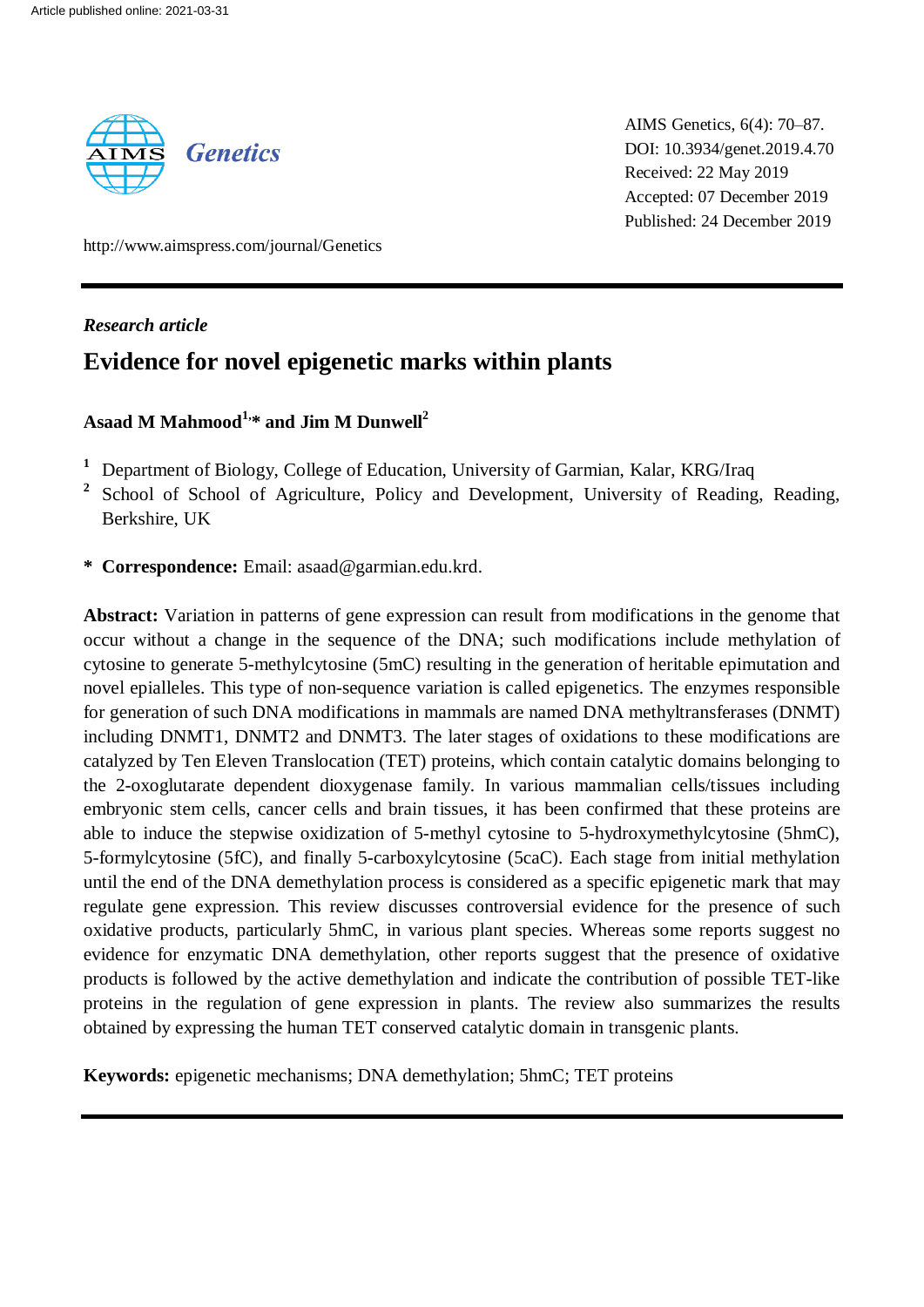

AIMS Genetics, 6(4): 70–87. DOI: 10.3934/genet.2019.4.70 Received: 22 May 2019 Accepted: 07 December 2019 Published: 24 December 2019

http://www.aimspress.com/journal/Genetics

## *Research article*

# **Evidence for novel epigenetic marks within plants**

## **Asaad M Mahmood1,\* and Jim M Dunwell<sup>2</sup>**

- **<sup>1</sup>** Department of Biology, College of Education, University of Garmian, Kalar, KRG/Iraq
- **2** School of School of Agriculture, Policy and Development, University of Reading, Reading, Berkshire, UK
- **\* Correspondence:** Email: asaad@garmian.edu.krd.

**Abstract:** Variation in patterns of gene expression can result from modifications in the genome that occur without a change in the sequence of the DNA; such modifications include methylation of cytosine to generate 5-methylcytosine (5mC) resulting in the generation of heritable epimutation and novel epialleles. This type of non-sequence variation is called epigenetics. The enzymes responsible for generation of such DNA modifications in mammals are named DNA methyltransferases (DNMT) including DNMT1, DNMT2 and DNMT3. The later stages of oxidations to these modifications are catalyzed by Ten Eleven Translocation (TET) proteins, which contain catalytic domains belonging to the 2-oxoglutarate dependent dioxygenase family. In various mammalian cells/tissues including embryonic stem cells, cancer cells and brain tissues, it has been confirmed that these proteins are able to induce the stepwise oxidization of 5-methyl cytosine to 5-hydroxymethylcytosine (5hmC), 5-formylcytosine (5fC), and finally 5-carboxylcytosine (5caC). Each stage from initial methylation until the end of the DNA demethylation process is considered as a specific epigenetic mark that may regulate gene expression. This review discusses controversial evidence for the presence of such oxidative products, particularly 5hmC, in various plant species. Whereas some reports suggest no evidence for enzymatic DNA demethylation, other reports suggest that the presence of oxidative products is followed by the active demethylation and indicate the contribution of possible TET-like proteins in the regulation of gene expression in plants. The review also summarizes the results obtained by expressing the human TET conserved catalytic domain in transgenic plants.

**Keywords:** epigenetic mechanisms; DNA demethylation; 5hmC; TET proteins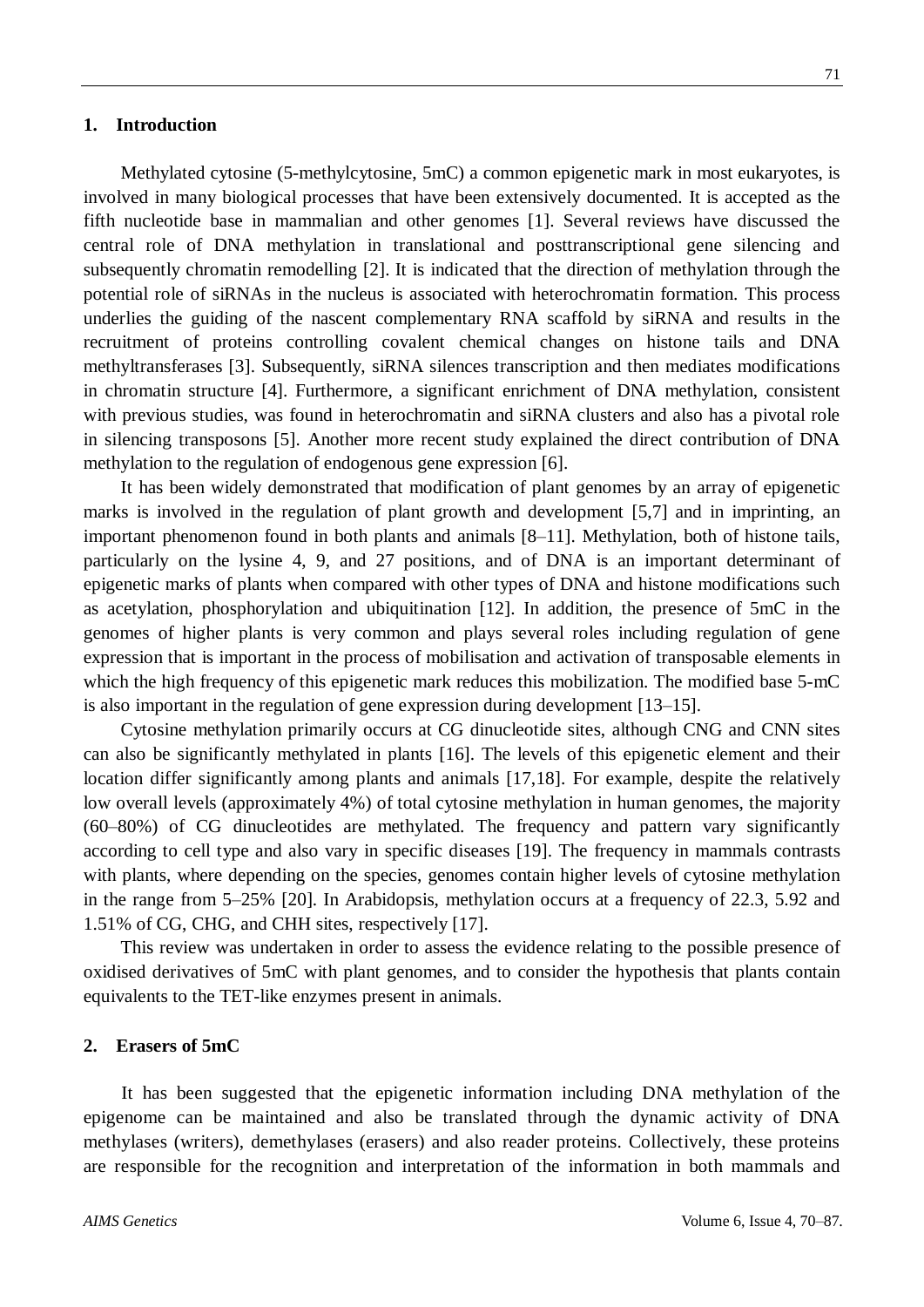Methylated cytosine (5-methylcytosine, 5mC) a common epigenetic mark in most eukaryotes, is involved in many biological processes that have been extensively documented. It is accepted as the fifth nucleotide base in mammalian and other genomes [1]. Several reviews have discussed the central role of DNA methylation in translational and posttranscriptional gene silencing and subsequently chromatin remodelling [2]. It is indicated that the direction of methylation through the potential role of siRNAs in the nucleus is associated with heterochromatin formation. This process underlies the guiding of the nascent complementary RNA scaffold by siRNA and results in the recruitment of proteins controlling covalent chemical changes on histone tails and DNA methyltransferases [3]. Subsequently, siRNA silences transcription and then mediates modifications in chromatin structure [4]. Furthermore, a significant enrichment of DNA methylation, consistent with previous studies, was found in heterochromatin and siRNA clusters and also has a pivotal role in silencing transposons [5]. Another more recent study explained the direct contribution of DNA methylation to the regulation of endogenous gene expression [6].

It has been widely demonstrated that modification of plant genomes by an array of epigenetic marks is involved in the regulation of plant growth and development [5,7] and in imprinting, an important phenomenon found in both plants and animals [8–11]. Methylation, both of histone tails, particularly on the lysine 4, 9, and 27 positions, and of DNA is an important determinant of epigenetic marks of plants when compared with other types of DNA and histone modifications such as acetylation, phosphorylation and ubiquitination [12]. In addition, the presence of 5mC in the genomes of higher plants is very common and plays several roles including regulation of gene expression that is important in the process of mobilisation and activation of transposable elements in which the high frequency of this epigenetic mark reduces this mobilization. The modified base 5-mC is also important in the regulation of gene expression during development [13–15].

Cytosine methylation primarily occurs at CG dinucleotide sites, although CNG and CNN sites can also be significantly methylated in plants [16]. The levels of this epigenetic element and their location differ significantly among plants and animals [17,18]. For example, despite the relatively low overall levels (approximately 4%) of total cytosine methylation in human genomes, the majority (60–80%) of CG dinucleotides are methylated. The frequency and pattern vary significantly according to cell type and also vary in specific diseases [19]. The frequency in mammals contrasts with plants, where depending on the species, genomes contain higher levels of cytosine methylation in the range from 5–25% [20]. In Arabidopsis, methylation occurs at a frequency of 22.3, 5.92 and 1.51% of CG, CHG, and CHH sites, respectively [17].

This review was undertaken in order to assess the evidence relating to the possible presence of oxidised derivatives of 5mC with plant genomes, and to consider the hypothesis that plants contain equivalents to the TET-like enzymes present in animals.

## **2. Erasers of 5mC**

It has been suggested that the epigenetic information including DNA methylation of the epigenome can be maintained and also be translated through the dynamic activity of DNA methylases (writers), demethylases (erasers) and also reader proteins. Collectively, these proteins are responsible for the recognition and interpretation of the information in both mammals and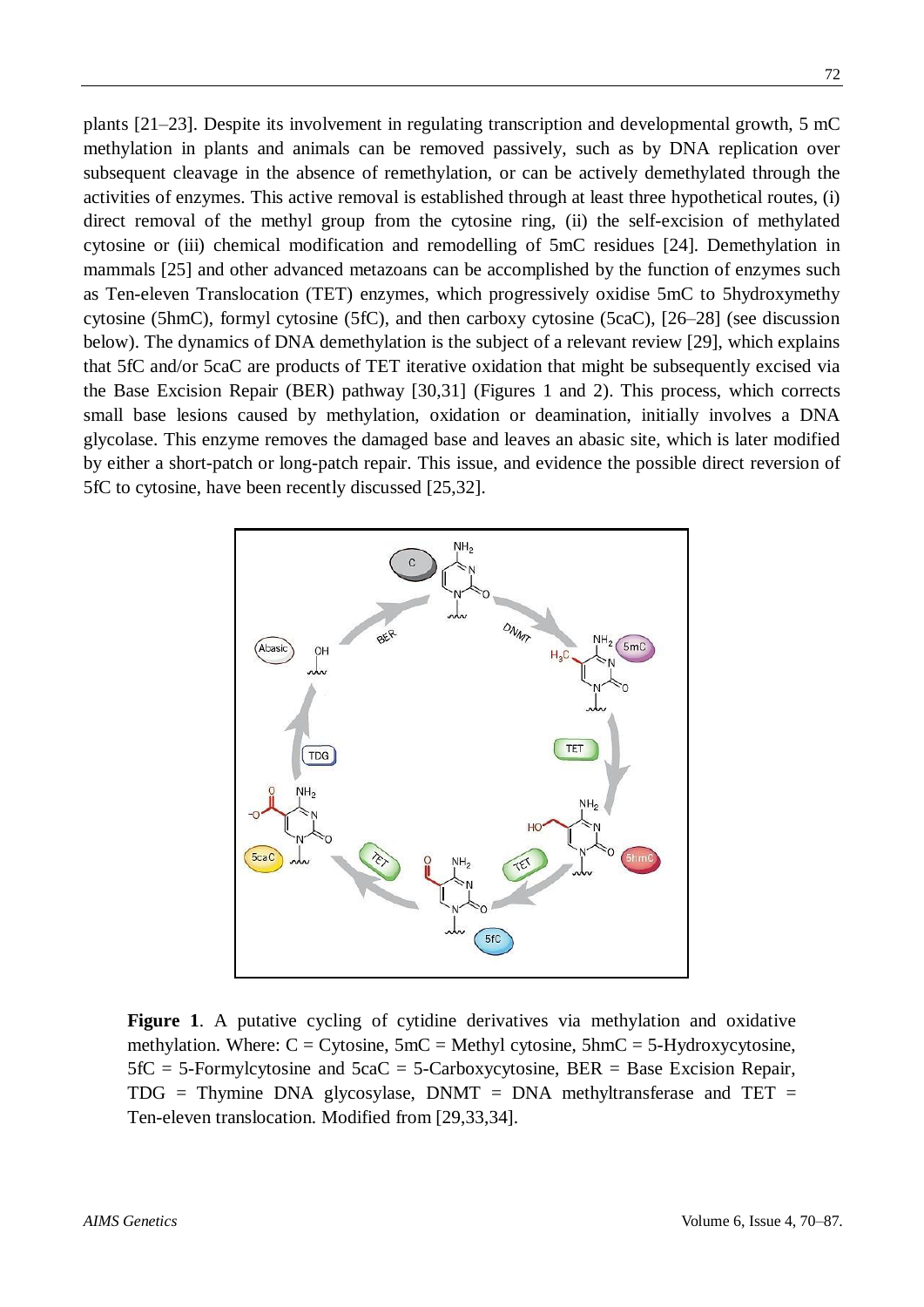plants [21–23]. Despite its involvement in regulating transcription and developmental growth, 5 mC methylation in plants and animals can be removed passively, such as by DNA replication over subsequent cleavage in the absence of remethylation, or can be actively demethylated through the activities of enzymes. This active removal is established through at least three hypothetical routes, (i) direct removal of the methyl group from the cytosine ring, (ii) the self-excision of methylated cytosine or (iii) chemical modification and remodelling of 5mC residues [24]. Demethylation in mammals [25] and other advanced metazoans can be accomplished by the function of enzymes such as Ten-eleven Translocation (TET) enzymes, which progressively oxidise 5mC to 5hydroxymethy cytosine (5hmC), formyl cytosine (5fC), and then carboxy cytosine (5caC), [26–28] (see discussion below). The dynamics of DNA demethylation is the subject of a relevant review [29], which explains that 5fC and/or 5caC are products of TET iterative oxidation that might be subsequently excised via the Base Excision Repair (BER) pathway [30,31] (Figures 1 and 2). This process, which corrects small base lesions caused by methylation, oxidation or deamination, initially involves a DNA glycolase. This enzyme removes the damaged base and leaves an abasic site, which is later modified by either a short-patch or long-patch repair. This issue, and evidence the possible direct reversion of 5fC to cytosine, have been recently discussed [25,32].



**Figure 1**. A putative cycling of cytidine derivatives via methylation and oxidative methylation. Where:  $C = \text{Cytosine}$ ,  $5m = \text{Methyl cytosine}$ ,  $5hm = 5-Hydroxycytosine$ ,  $5fC = 5$ -Formylcytosine and  $5cAC = 5$ -Carboxycytosine, BER = Base Excision Repair,  $TDG = Thymine DNA glycosylase$ ,  $DNMT = DNA methyltransferase$  and  $TET =$ Ten-eleven translocation. Modified from [29,33,34].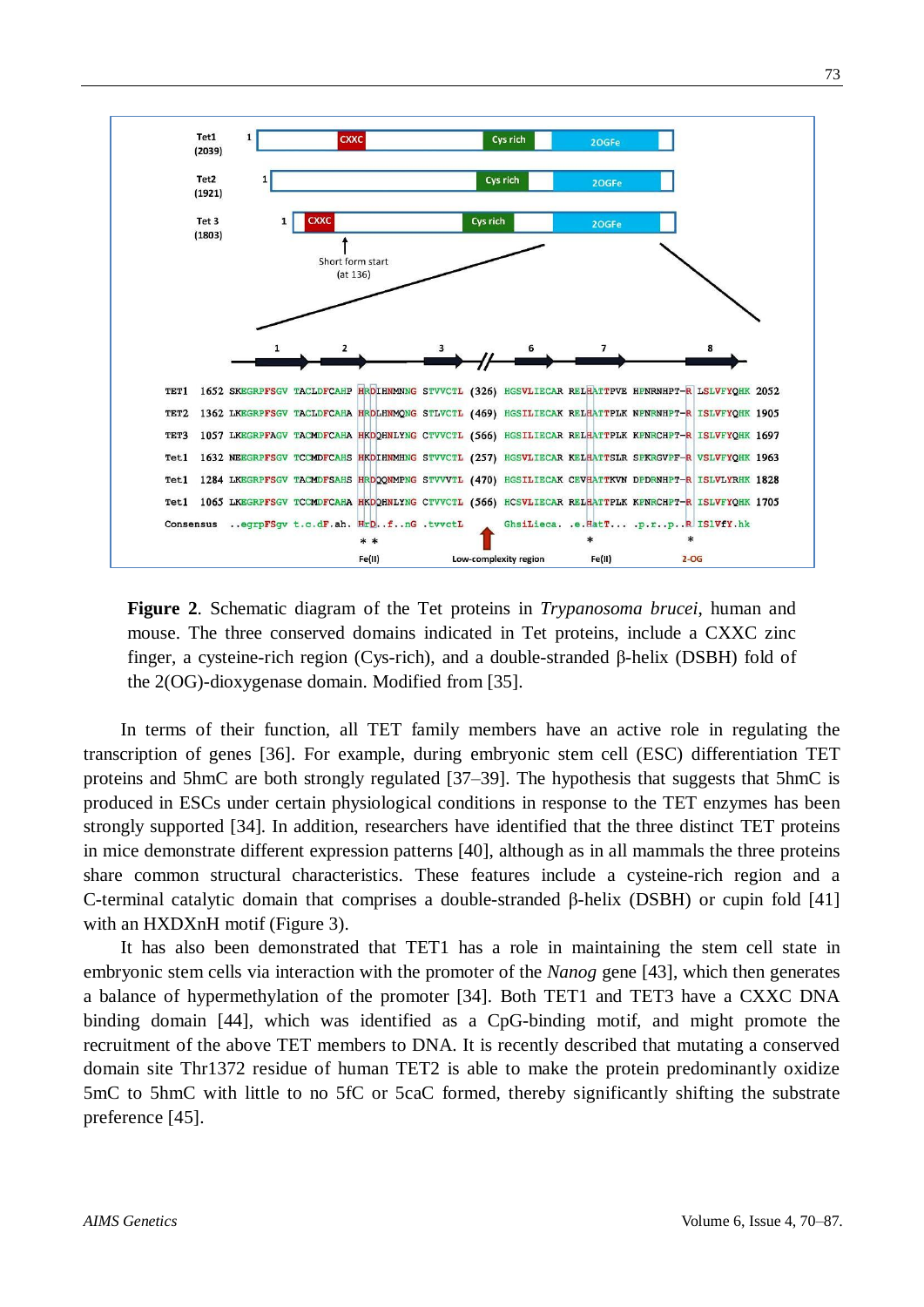

**Figure 2**. Schematic diagram of the Tet proteins in *Trypanosoma brucei*, human and mouse. The three conserved domains indicated in Tet proteins, include a CXXC zinc finger, a cysteine-rich region (Cys-rich), and a double-stranded β-helix (DSBH) fold of the 2(OG)-dioxygenase domain. Modified from [35].

In terms of their function, all TET family members have an active role in regulating the transcription of genes [36]. For example, during embryonic stem cell (ESC) differentiation TET proteins and 5hmC are both strongly regulated [37–39]. The hypothesis that suggests that 5hmC is produced in ESCs under certain physiological conditions in response to the TET enzymes has been strongly supported [34]. In addition, researchers have identified that the three distinct TET proteins in mice demonstrate different expression patterns [40], although as in all mammals the three proteins share common structural characteristics. These features include a cysteine-rich region and a C-terminal catalytic domain that comprises a double-stranded β-helix (DSBH) or cupin fold [41] with an HXDXnH motif (Figure 3).

It has also been demonstrated that TET1 has a role in maintaining the stem cell state in embryonic stem cells via interaction with the promoter of the *Nanog* gene [43], which then generates a balance of hypermethylation of the promoter [34]. Both TET1 and TET3 have a CXXC DNA binding domain [44], which was identified as a CpG-binding motif, and might promote the recruitment of the above TET members to DNA. It is recently described that mutating a conserved domain site Thr1372 residue of human TET2 is able to make the protein predominantly oxidize 5mC to 5hmC with little to no 5fC or 5caC formed, thereby significantly shifting the substrate preference [45].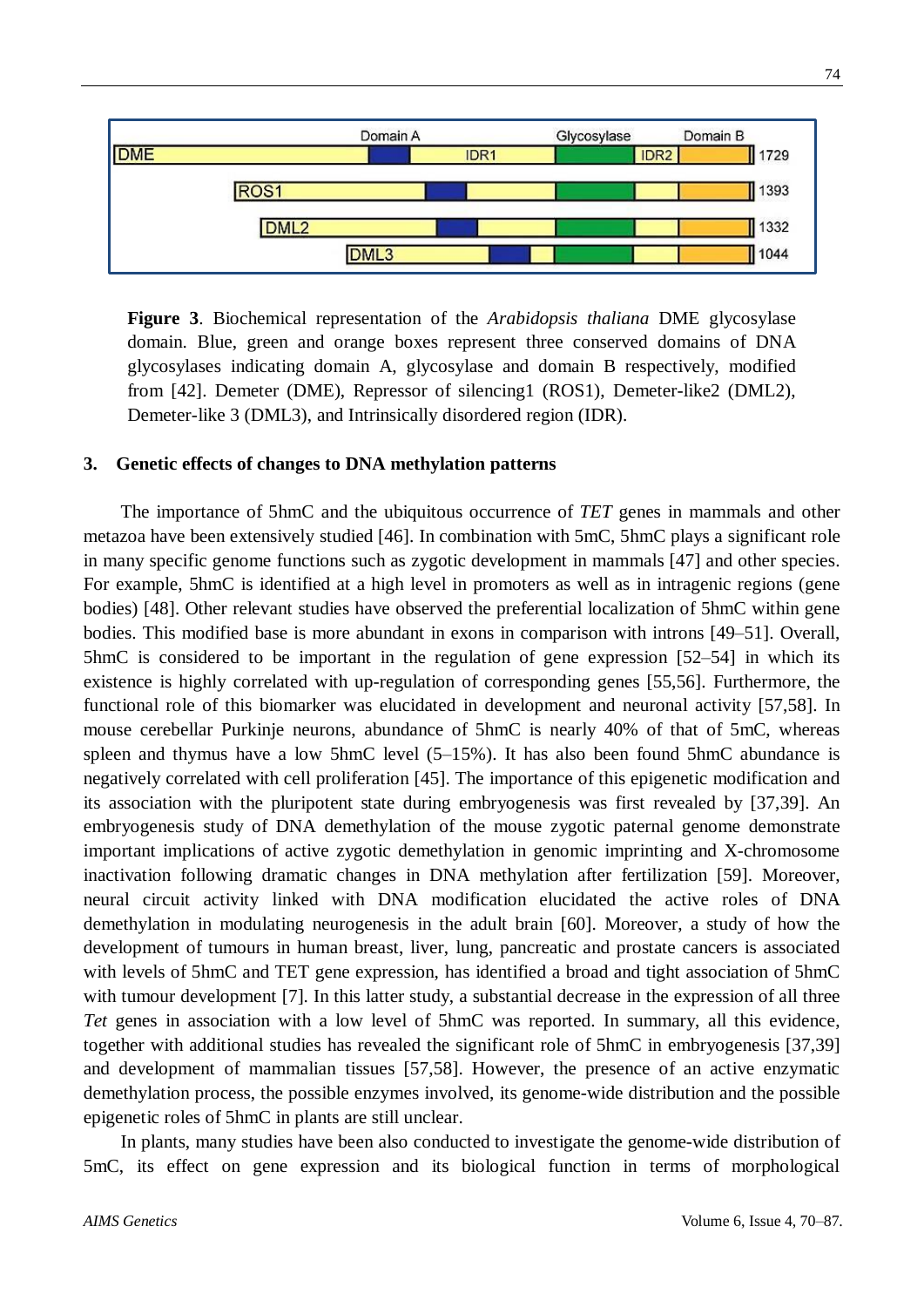

**Figure 3**. Biochemical representation of the *Arabidopsis thaliana* DME glycosylase domain. Blue, green and orange boxes represent three conserved domains of DNA glycosylases indicating domain A, glycosylase and domain B respectively, modified from [42]. Demeter (DME), Repressor of silencing1 (ROS1), Demeter-like2 (DML2), Demeter-like 3 (DML3), and Intrinsically disordered region (IDR).

## **3. Genetic effects of changes to DNA methylation patterns**

The importance of 5hmC and the ubiquitous occurrence of *TET* genes in mammals and other metazoa have been extensively studied [46]. In combination with 5mC, 5hmC plays a significant role in many specific genome functions such as zygotic development in mammals [47] and other species. For example, 5hmC is identified at a high level in promoters as well as in intragenic regions (gene bodies) [48]. Other relevant studies have observed the preferential localization of 5hmC within gene bodies. This modified base is more abundant in exons in comparison with introns [49–51]. Overall, 5hmC is considered to be important in the regulation of gene expression [52–54] in which its existence is highly correlated with up-regulation of corresponding genes [55,56]. Furthermore, the functional role of this biomarker was elucidated in development and neuronal activity [57,58]. In mouse cerebellar Purkinje neurons, abundance of 5hmC is nearly 40% of that of 5mC, whereas spleen and thymus have a low 5hmC level (5–15%). It has also been found 5hmC abundance is negatively correlated with cell proliferation [45]. The importance of this epigenetic modification and its association with the pluripotent state during embryogenesis was first revealed by [37,39]. An embryogenesis study of DNA demethylation of the mouse zygotic paternal genome demonstrate important implications of active zygotic demethylation in genomic imprinting and X-chromosome inactivation following dramatic changes in DNA methylation after fertilization [59]. Moreover, neural circuit activity linked with DNA modification elucidated the active roles of DNA demethylation in modulating neurogenesis in the adult brain [60]. Moreover, a study of how the development of tumours in human breast, liver, lung, pancreatic and prostate cancers is associated with levels of 5hmC and TET gene expression, has identified a broad and tight association of 5hmC with tumour development [7]. In this latter study, a substantial decrease in the expression of all three *Tet* genes in association with a low level of 5hmC was reported. In summary, all this evidence, together with additional studies has revealed the significant role of 5hmC in embryogenesis [37,39] and development of mammalian tissues [57,58]. However, the presence of an active enzymatic demethylation process, the possible enzymes involved, its genome-wide distribution and the possible epigenetic roles of 5hmC in plants are still unclear.

In plants, many studies have been also conducted to investigate the genome-wide distribution of 5mC, its effect on gene expression and its biological function in terms of morphological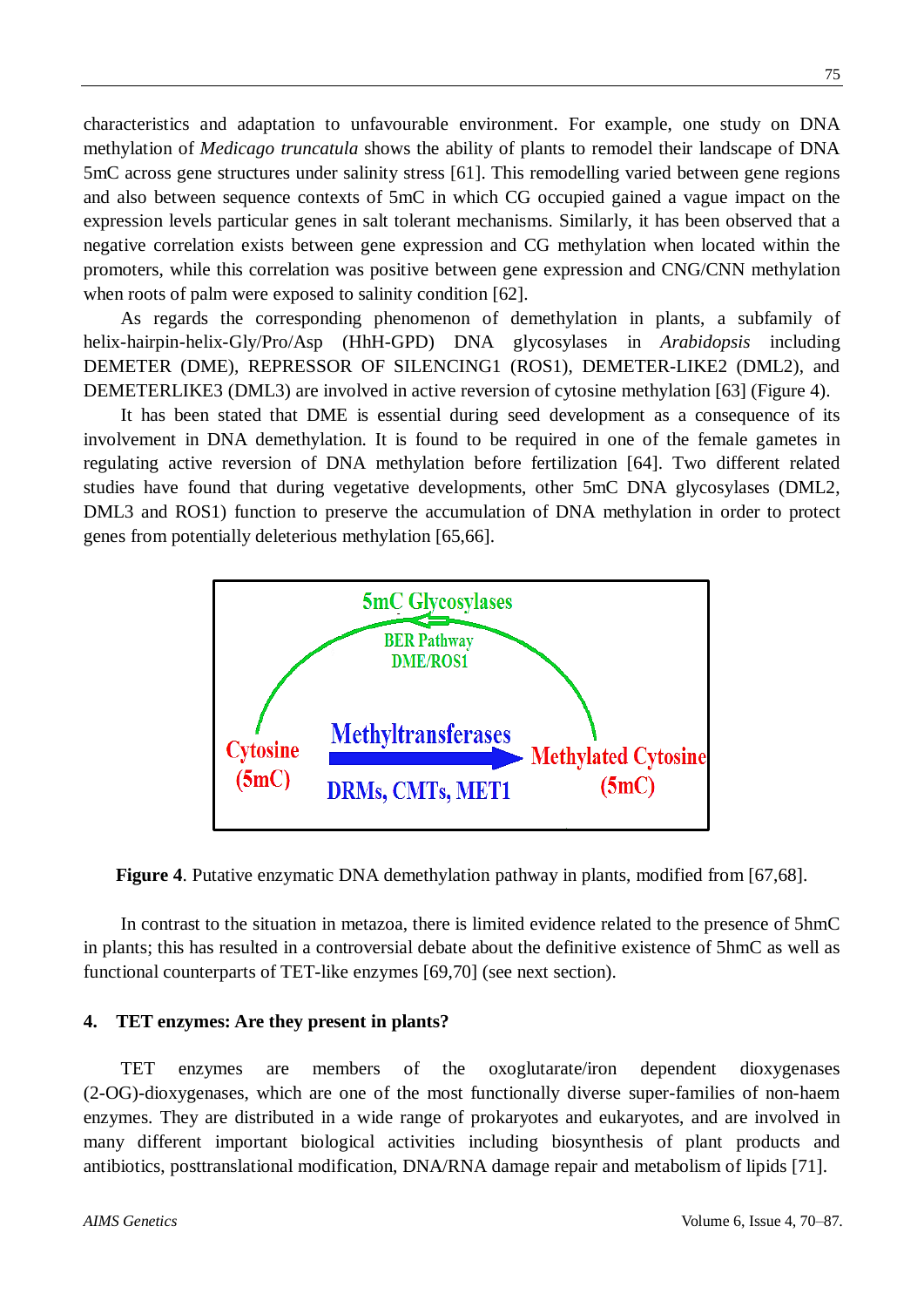characteristics and adaptation to unfavourable environment. For example, one study on DNA methylation of *Medicago truncatula* shows the ability of plants to remodel their landscape of DNA 5mC across gene structures under salinity stress [61]. This remodelling varied between gene regions and also between sequence contexts of 5mC in which CG occupied gained a vague impact on the expression levels particular genes in salt tolerant mechanisms. Similarly, it has been observed that a negative correlation exists between gene expression and CG methylation when located within the promoters, while this correlation was positive between gene expression and CNG/CNN methylation when roots of palm were exposed to salinity condition [62].

As regards the corresponding phenomenon of demethylation in plants, a subfamily of helix-hairpin-helix-Gly/Pro/Asp (HhH-GPD) DNA glycosylases in *Arabidopsis* including DEMETER (DME), REPRESSOR OF SILENCING1 (ROS1), DEMETER-LIKE2 (DML2), and DEMETERLIKE3 (DML3) are involved in active reversion of cytosine methylation [63] (Figure 4).

It has been stated that DME is essential during seed development as a consequence of its involvement in DNA demethylation. It is found to be required in one of the female gametes in regulating active reversion of DNA methylation before fertilization [64]. Two different related studies have found that during vegetative developments, other 5mC DNA glycosylases (DML2, DML3 and ROS1) function to preserve the accumulation of DNA methylation in order to protect genes from potentially deleterious methylation [65,66].



**Figure 4**. Putative enzymatic DNA demethylation pathway in plants, modified from [67,68].

In contrast to the situation in metazoa, there is limited evidence related to the presence of 5hmC in plants; this has resulted in a controversial debate about the definitive existence of 5hmC as well as functional counterparts of TET-like enzymes [69,70] (see next section).

## **4. TET enzymes: Are they present in plants?**

TET enzymes are members of the oxoglutarate/iron dependent dioxygenases (2-OG)-dioxygenases, which are one of the most functionally diverse super-families of non-haem enzymes. They are distributed in a wide range of prokaryotes and eukaryotes, and are involved in many different important biological activities including biosynthesis of plant products and antibiotics, posttranslational modification, DNA/RNA damage repair and metabolism of lipids [71].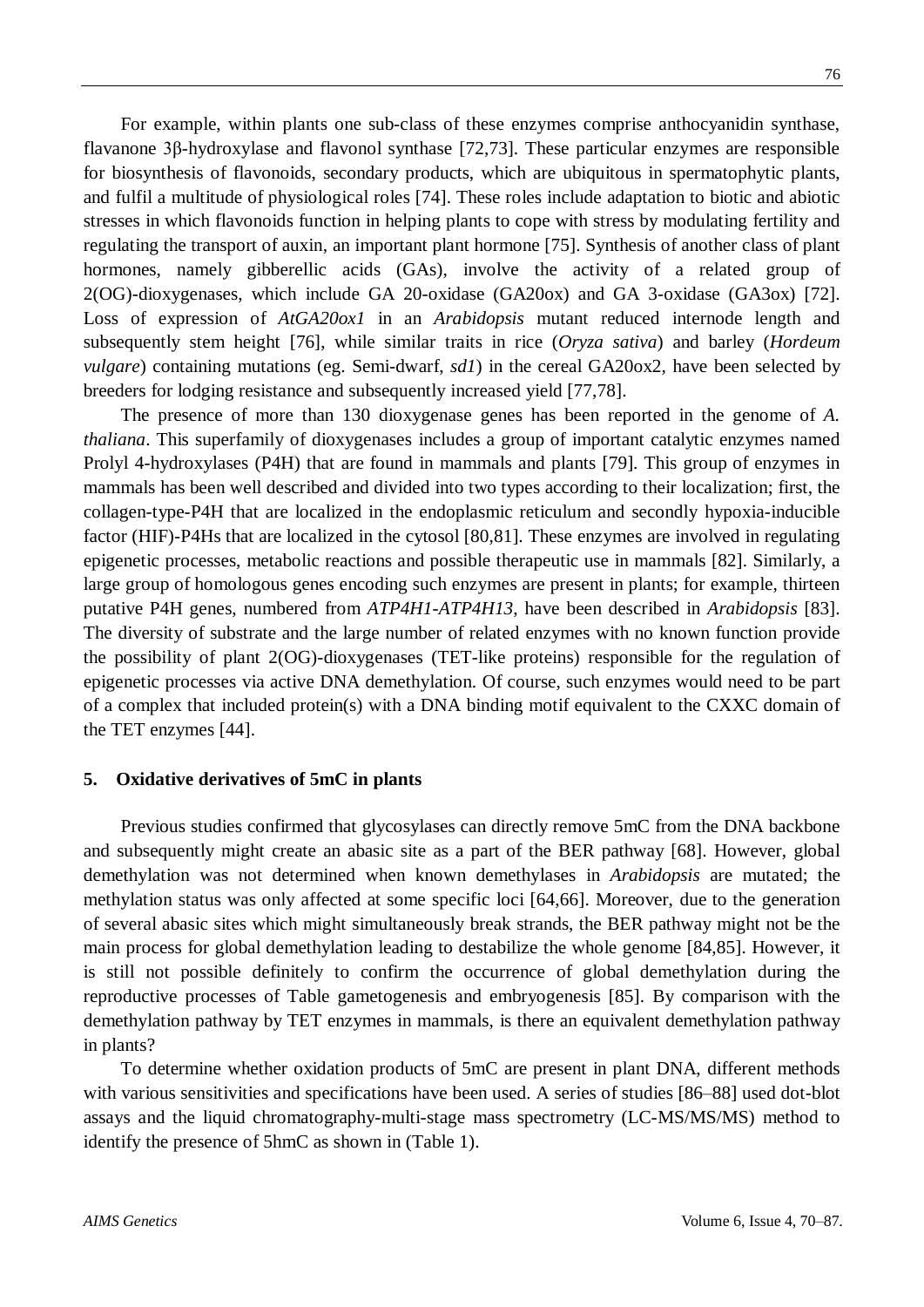For example, within plants one sub-class of these enzymes comprise anthocyanidin synthase, flavanone 3β-hydroxylase and flavonol synthase [72,73]. These particular enzymes are responsible for biosynthesis of flavonoids, secondary products, which are ubiquitous in spermatophytic plants, and fulfil a multitude of physiological roles [74]. These roles include adaptation to biotic and abiotic stresses in which flavonoids function in helping plants to cope with stress by modulating fertility and regulating the transport of auxin, an important plant hormone [75]. Synthesis of another class of plant hormones, namely gibberellic acids (GAs), involve the activity of a related group of 2(OG)-dioxygenases, which include GA 20-oxidase (GA20ox) and GA 3-oxidase (GA3ox) [72]. Loss of expression of *AtGA20ox1* in an *Arabidopsis* mutant reduced internode length and subsequently stem height [76], while similar traits in rice (*Oryza sativa*) and barley (*Hordeum vulgare*) containing mutations (eg. Semi-dwarf, *sd1*) in the cereal GA20ox2, have been selected by breeders for lodging resistance and subsequently increased yield [77,78].

The presence of more than 130 dioxygenase genes has been reported in the genome of *A. thaliana*. This superfamily of dioxygenases includes a group of important catalytic enzymes named Prolyl 4-hydroxylases (P4H) that are found in mammals and plants [79]. This group of enzymes in mammals has been well described and divided into two types according to their localization; first, the collagen-type-P4H that are localized in the endoplasmic reticulum and secondly hypoxia-inducible factor (HIF)-P4Hs that are localized in the cytosol [80,81]. These enzymes are involved in regulating epigenetic processes, metabolic reactions and possible therapeutic use in mammals [82]. Similarly, a large group of homologous genes encoding such enzymes are present in plants; for example, thirteen putative P4H genes, numbered from *ATP4H1*-*ATP4H13*, have been described in *Arabidopsis* [83]. The diversity of substrate and the large number of related enzymes with no known function provide the possibility of plant 2(OG)-dioxygenases (TET-like proteins) responsible for the regulation of epigenetic processes via active DNA demethylation. Of course, such enzymes would need to be part of a complex that included protein(s) with a DNA binding motif equivalent to the CXXC domain of the TET enzymes [44].

## **5. Oxidative derivatives of 5mC in plants**

Previous studies confirmed that glycosylases can directly remove 5mC from the DNA backbone and subsequently might create an abasic site as a part of the BER pathway [68]. However, global demethylation was not determined when known demethylases in *Arabidopsis* are mutated; the methylation status was only affected at some specific loci [64,66]. Moreover, due to the generation of several abasic sites which might simultaneously break strands, the BER pathway might not be the main process for global demethylation leading to destabilize the whole genome [84,85]. However, it is still not possible definitely to confirm the occurrence of global demethylation during the reproductive processes of Table gametogenesis and embryogenesis [85]. By comparison with the demethylation pathway by TET enzymes in mammals, is there an equivalent demethylation pathway in plants?

To determine whether oxidation products of 5mC are present in plant DNA, different methods with various sensitivities and specifications have been used. A series of studies [86–88] used dot-blot assays and the liquid chromatography-multi-stage mass spectrometry (LC-MS/MS/MS) method to identify the presence of 5hmC as shown in (Table 1).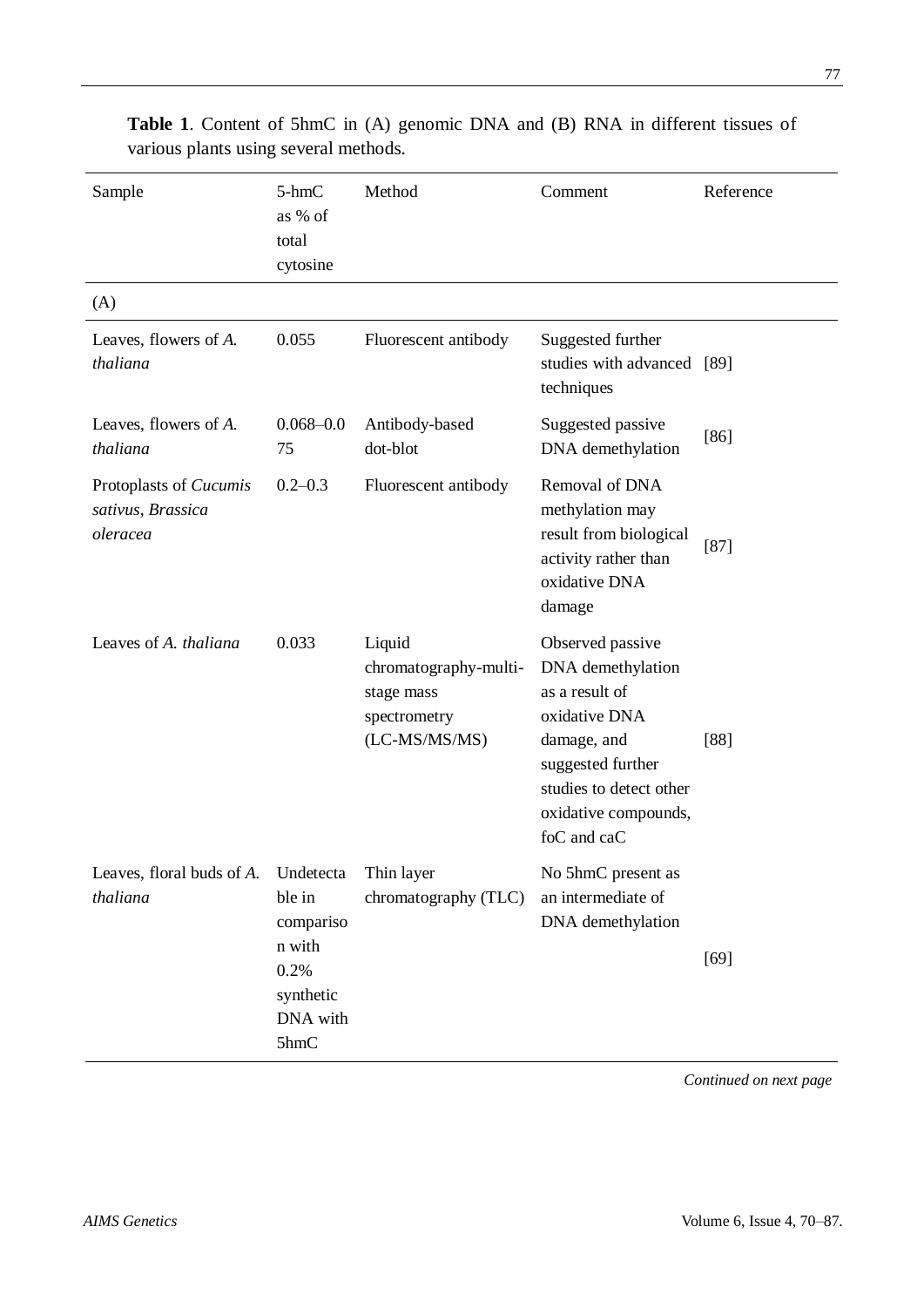| Sample                                                  | 5-hmC<br>as % of<br>total<br>cytosine                                               | Method                                                                         | Comment                                                                                                                                                                        | Reference |
|---------------------------------------------------------|-------------------------------------------------------------------------------------|--------------------------------------------------------------------------------|--------------------------------------------------------------------------------------------------------------------------------------------------------------------------------|-----------|
| (A)                                                     |                                                                                     |                                                                                |                                                                                                                                                                                |           |
| Leaves, flowers of A.<br>thaliana                       | 0.055                                                                               | Fluorescent antibody                                                           | Suggested further<br>studies with advanced [89]<br>techniques                                                                                                                  |           |
| Leaves, flowers of A.<br>thaliana                       | $0.068 - 0.0$<br>75                                                                 | Antibody-based<br>dot-blot                                                     | Suggested passive<br>DNA demethylation                                                                                                                                         | $[86]$    |
| Protoplasts of Cucumis<br>sativus, Brassica<br>oleracea | $0.2 - 0.3$                                                                         | Fluorescent antibody                                                           | Removal of DNA<br>methylation may<br>result from biological<br>activity rather than<br>oxidative DNA<br>damage                                                                 | $[87]$    |
| Leaves of A. thaliana                                   | 0.033                                                                               | Liquid<br>chromatography-multi-<br>stage mass<br>spectrometry<br>(LC-MS/MS/MS) | Observed passive<br>DNA demethylation<br>as a result of<br>oxidative DNA<br>damage, and<br>suggested further<br>studies to detect other<br>oxidative compounds,<br>foC and caC | $[88]$    |
| Leaves, floral buds of A.<br>thaliana                   | Undetecta<br>ble in<br>compariso<br>n with<br>0.2%<br>synthetic<br>DNA with<br>5hmC | Thin layer<br>chromatography (TLC)                                             | No 5hmC present as<br>an intermediate of<br>DNA demethylation                                                                                                                  | $[69]$    |

**Table 1**. Content of 5hmC in (A) genomic DNA and (B) RNA in different tissues of various plants using several methods.

*Continued on next page*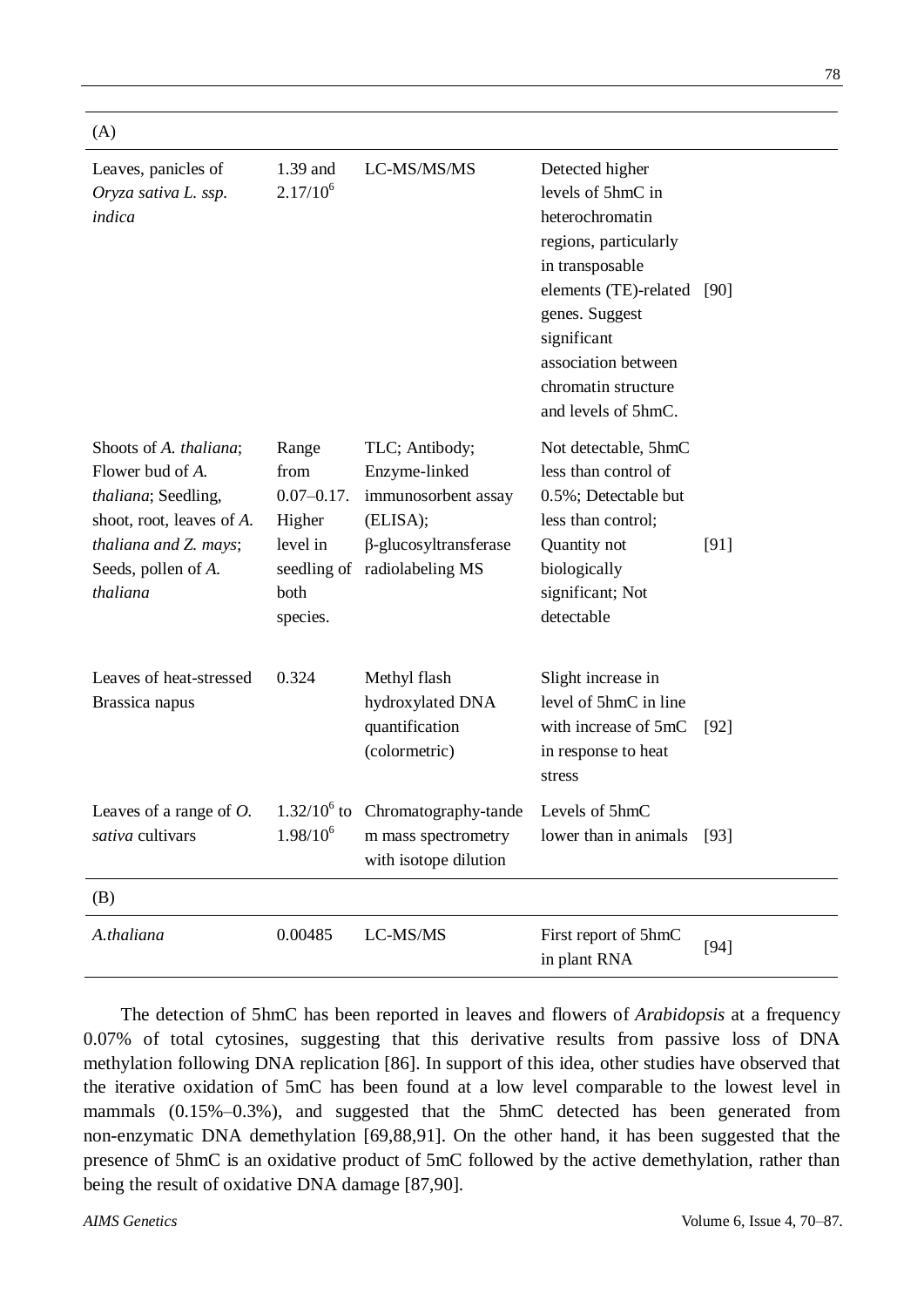| Leaves, panicles of<br>Oryza sativa L. ssp.<br>indica                                                                                                      | 1.39 and<br>$2.17/10^{6}$                                                  | LC-MS/MS/MS                                                                                                                        | Detected higher<br>levels of 5hmC in<br>heterochromatin<br>regions, particularly<br>in transposable<br>elements (TE)-related [90]<br>genes. Suggest<br>significant<br>association between<br>chromatin structure<br>and levels of 5hmC. |        |
|------------------------------------------------------------------------------------------------------------------------------------------------------------|----------------------------------------------------------------------------|------------------------------------------------------------------------------------------------------------------------------------|-----------------------------------------------------------------------------------------------------------------------------------------------------------------------------------------------------------------------------------------|--------|
| Shoots of A. thaliana;<br>Flower bud of A.<br>thaliana; Seedling,<br>shoot, root, leaves of A.<br>thaliana and Z. mays;<br>Seeds, pollen of A.<br>thaliana | Range<br>from<br>$0.07 - 0.17$ .<br>Higher<br>level in<br>both<br>species. | TLC; Antibody;<br>Enzyme-linked<br>immunosorbent assay<br>(ELISA);<br>$\beta$ -glucosyltransferase<br>seedling of radiolabeling MS | Not detectable, 5hmC<br>less than control of<br>0.5%; Detectable but<br>less than control;<br>Quantity not<br>biologically<br>significant; Not<br>detectable                                                                            | [91]   |
| Leaves of heat-stressed<br>Brassica napus                                                                                                                  | 0.324                                                                      | Methyl flash<br>hydroxylated DNA<br>quantification<br>(colormetric)                                                                | Slight increase in<br>level of 5hmC in line<br>with increase of 5mC<br>in response to heat<br>stress                                                                                                                                    | $[92]$ |
| Leaves of a range of $O$ .<br>sativa cultivars                                                                                                             | $1.98/10^{6}$                                                              | $1.32/10^6$ to Chromatography-tande<br>m mass spectrometry<br>with isotope dilution                                                | Levels of 5hmC<br>lower than in animals [93]                                                                                                                                                                                            |        |
| (B)                                                                                                                                                        |                                                                            |                                                                                                                                    |                                                                                                                                                                                                                                         |        |
| A.thaliana                                                                                                                                                 | 0.00485                                                                    | LC-MS/MS                                                                                                                           | First report of 5hmC<br>in plant RNA                                                                                                                                                                                                    | $[94]$ |

The detection of 5hmC has been reported in leaves and flowers of *Arabidopsis* at a frequency 0.07% of total cytosines, suggesting that this derivative results from passive loss of DNA methylation following DNA replication [86]. In support of this idea, other studies have observed that the iterative oxidation of 5mC has been found at a low level comparable to the lowest level in mammals (0.15%–0.3%), and suggested that the 5hmC detected has been generated from non-enzymatic DNA demethylation [69,88,91]. On the other hand, it has been suggested that the presence of 5hmC is an oxidative product of 5mC followed by the active demethylation, rather than being the result of oxidative DNA damage [87,90].

 $(A)$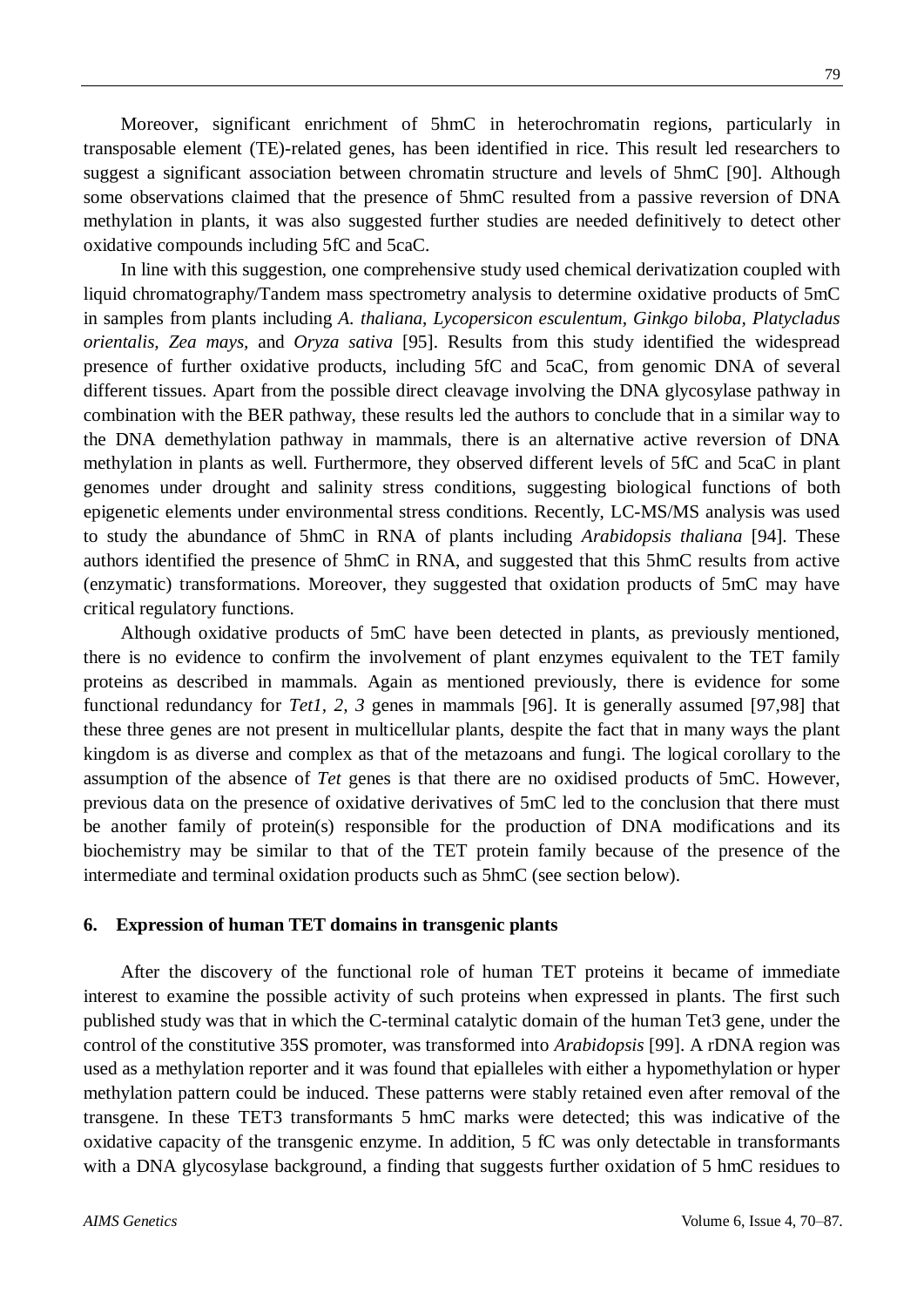Moreover, significant enrichment of 5hmC in heterochromatin regions, particularly in transposable element (TE)-related genes, has been identified in rice. This result led researchers to suggest a significant association between chromatin structure and levels of 5hmC [90]. Although some observations claimed that the presence of 5hmC resulted from a passive reversion of DNA methylation in plants, it was also suggested further studies are needed definitively to detect other oxidative compounds including 5fC and 5caC.

In line with this suggestion, one comprehensive study used chemical derivatization coupled with liquid chromatography/Tandem mass spectrometry analysis to determine oxidative products of 5mC in samples from plants including *A. thaliana*, *Lycopersicon esculentum, Ginkgo biloba, Platycladus orientalis, Zea mays,* and *Oryza sativa* [95]. Results from this study identified the widespread presence of further oxidative products, including 5fC and 5caC, from genomic DNA of several different tissues. Apart from the possible direct cleavage involving the DNA glycosylase pathway in combination with the BER pathway, these results led the authors to conclude that in a similar way to the DNA demethylation pathway in mammals, there is an alternative active reversion of DNA methylation in plants as well. Furthermore, they observed different levels of 5fC and 5caC in plant genomes under drought and salinity stress conditions, suggesting biological functions of both epigenetic elements under environmental stress conditions. Recently, LC-MS/MS analysis was used to study the abundance of 5hmC in RNA of plants including *Arabidopsis thaliana* [94]. These authors identified the presence of 5hmC in RNA, and suggested that this 5hmC results from active (enzymatic) transformations. Moreover, they suggested that oxidation products of 5mC may have critical regulatory functions.

Although oxidative products of 5mC have been detected in plants, as previously mentioned, there is no evidence to confirm the involvement of plant enzymes equivalent to the TET family proteins as described in mammals. Again as mentioned previously, there is evidence for some functional redundancy for *Tet1, 2, 3* genes in mammals [96]. It is generally assumed [97,98] that these three genes are not present in multicellular plants, despite the fact that in many ways the plant kingdom is as diverse and complex as that of the metazoans and fungi. The logical corollary to the assumption of the absence of *Tet* genes is that there are no oxidised products of 5mC. However, previous data on the presence of oxidative derivatives of 5mC led to the conclusion that there must be another family of protein(s) responsible for the production of DNA modifications and its biochemistry may be similar to that of the TET protein family because of the presence of the intermediate and terminal oxidation products such as 5hmC (see section below).

#### **6. Expression of human TET domains in transgenic plants**

After the discovery of the functional role of human TET proteins it became of immediate interest to examine the possible activity of such proteins when expressed in plants. The first such published study was that in which the C-terminal catalytic domain of the human Tet3 gene, under the control of the constitutive 35S promoter, was transformed into *Arabidopsis* [99]. A rDNA region was used as a methylation reporter and it was found that epialleles with either a hypomethylation or hyper methylation pattern could be induced. These patterns were stably retained even after removal of the transgene. In these TET3 transformants 5 hmC marks were detected; this was indicative of the oxidative capacity of the transgenic enzyme. In addition, 5 fC was only detectable in transformants with a DNA glycosylase background, a finding that suggests further oxidation of 5 hmC residues to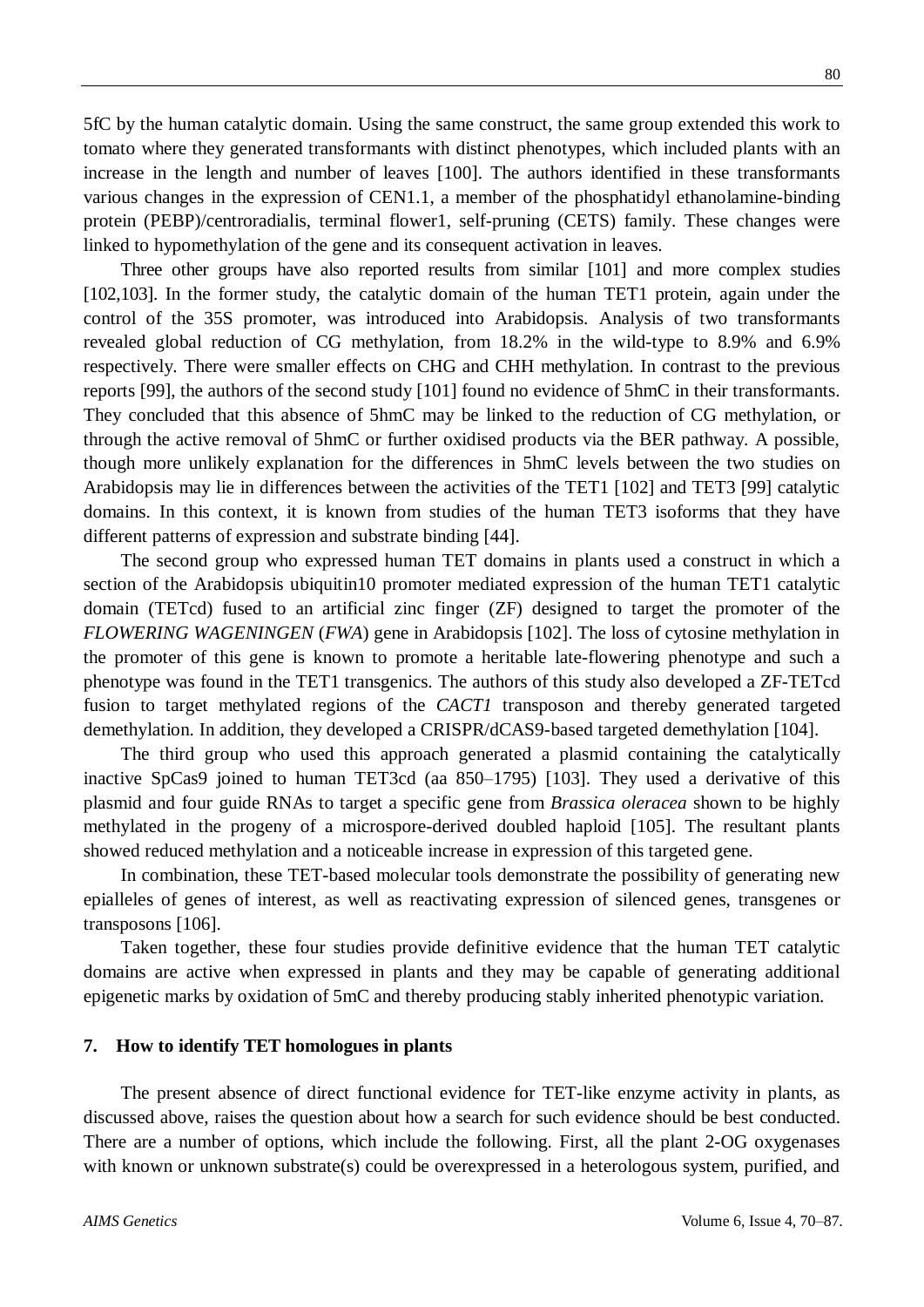5fC by the human catalytic domain. Using the same construct, the same group extended this work to tomato where they generated transformants with distinct phenotypes, which included plants with an increase in the length and number of leaves [100]. The authors identified in these transformants various changes in the expression of CEN1.1, a member of the phosphatidyl ethanolamine-binding protein (PEBP)/centroradialis, terminal flower1, self-pruning (CETS) family. These changes were linked to hypomethylation of the gene and its consequent activation in leaves.

Three other groups have also reported results from similar [101] and more complex studies [102,103]. In the former study, the catalytic domain of the human TET1 protein, again under the control of the 35S promoter, was introduced into Arabidopsis. Analysis of two transformants revealed global reduction of CG methylation, from 18.2% in the wild-type to 8.9% and 6.9% respectively. There were smaller effects on CHG and CHH methylation. In contrast to the previous reports [99], the authors of the second study [101] found no evidence of 5hmC in their transformants. They concluded that this absence of 5hmC may be linked to the reduction of CG methylation, or through the active removal of 5hmC or further oxidised products via the BER pathway. A possible, though more unlikely explanation for the differences in 5hmC levels between the two studies on Arabidopsis may lie in differences between the activities of the TET1 [102] and TET3 [99] catalytic domains. In this context, it is known from studies of the human TET3 isoforms that they have different patterns of expression and substrate binding [44].

The second group who expressed human TET domains in plants used a construct in which a section of the Arabidopsis ubiquitin10 promoter mediated expression of the human TET1 catalytic domain (TETcd) fused to an artificial zinc finger (ZF) designed to target the promoter of the *FLOWERING WAGENINGEN* (*FWA*) gene in Arabidopsis [102]. The loss of cytosine methylation in the promoter of this gene is known to promote a heritable late-flowering phenotype and such a phenotype was found in the TET1 transgenics. The authors of this study also developed a ZF-TETcd fusion to target methylated regions of the *CACT1* transposon and thereby generated targeted demethylation. In addition, they developed a CRISPR/dCAS9-based targeted demethylation [104].

The third group who used this approach generated a plasmid containing the catalytically inactive SpCas9 joined to human TET3cd (aa 850–1795) [103]. They used a derivative of this plasmid and four guide RNAs to target a specific gene from *Brassica oleracea* shown to be highly methylated in the progeny of a microspore-derived doubled haploid [105]. The resultant plants showed reduced methylation and a noticeable increase in expression of this targeted gene.

In combination, these TET-based molecular tools demonstrate the possibility of generating new epialleles of genes of interest, as well as reactivating expression of silenced genes, transgenes or transposons [106].

Taken together, these four studies provide definitive evidence that the human TET catalytic domains are active when expressed in plants and they may be capable of generating additional epigenetic marks by oxidation of 5mC and thereby producing stably inherited phenotypic variation.

## **7. How to identify TET homologues in plants**

The present absence of direct functional evidence for TET-like enzyme activity in plants, as discussed above, raises the question about how a search for such evidence should be best conducted. There are a number of options, which include the following. First, all the plant 2-OG oxygenases with known or unknown substrate(s) could be overexpressed in a heterologous system, purified, and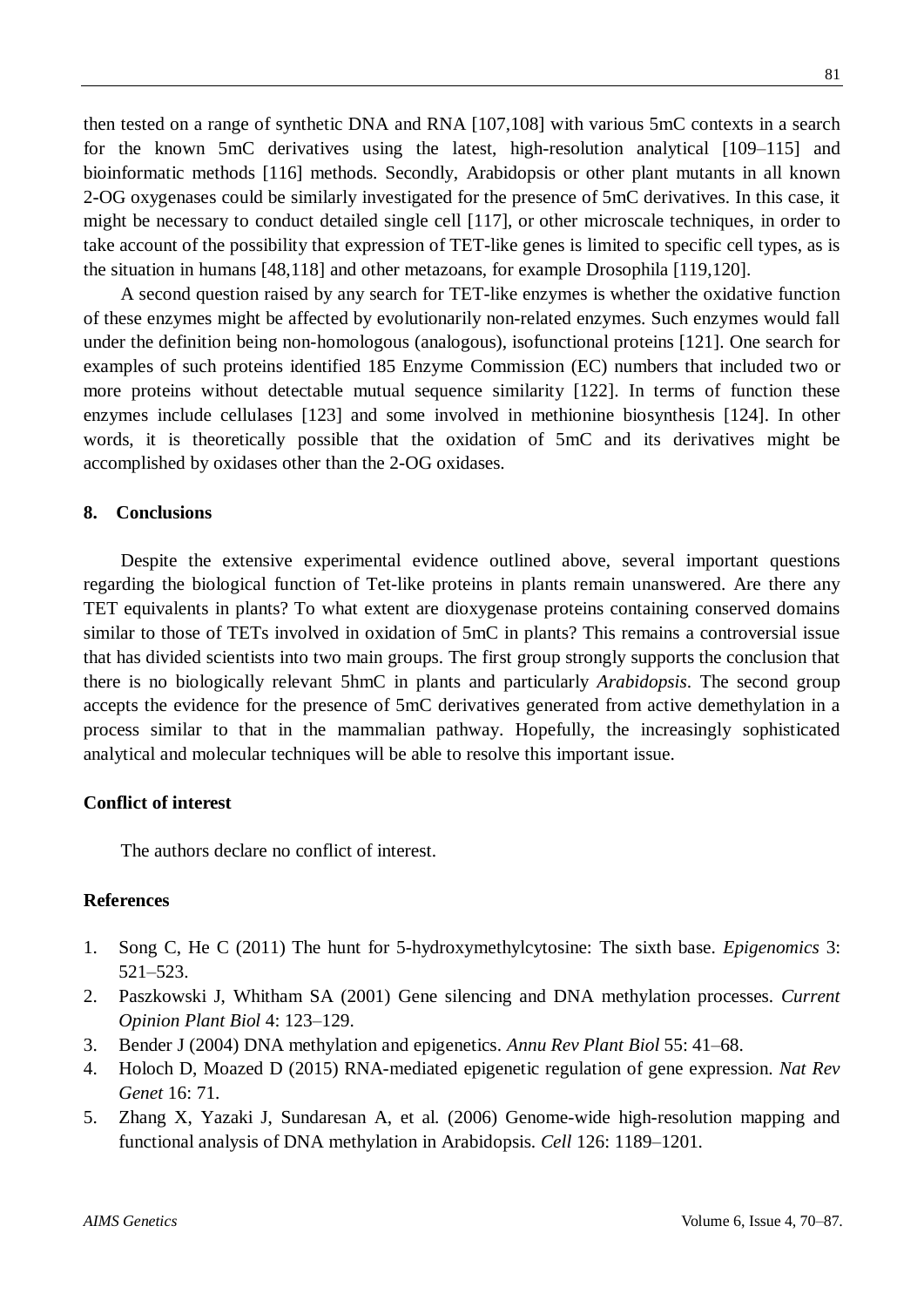then tested on a range of synthetic DNA and RNA [107,108] with various 5mC contexts in a search for the known 5mC derivatives using the latest, high-resolution analytical [109–115] and bioinformatic methods [116] methods. Secondly, Arabidopsis or other plant mutants in all known 2-OG oxygenases could be similarly investigated for the presence of 5mC derivatives. In this case, it might be necessary to conduct detailed single cell [117], or other microscale techniques, in order to take account of the possibility that expression of TET-like genes is limited to specific cell types, as is the situation in humans [48,118] and other metazoans, for example Drosophila [119,120].

A second question raised by any search for TET-like enzymes is whether the oxidative function of these enzymes might be affected by evolutionarily non-related enzymes. Such enzymes would fall under the definition being non-homologous (analogous), isofunctional proteins [121]. One search for examples of such proteins identified 185 Enzyme Commission (EC) numbers that included two or more proteins without detectable mutual sequence similarity [122]. In terms of function these enzymes include cellulases [123] and some involved in methionine biosynthesis [124]. In other words, it is theoretically possible that the oxidation of 5mC and its derivatives might be accomplished by oxidases other than the 2-OG oxidases.

#### **8. Conclusions**

Despite the extensive experimental evidence outlined above, several important questions regarding the biological function of Tet-like proteins in plants remain unanswered. Are there any TET equivalents in plants? To what extent are dioxygenase proteins containing conserved domains similar to those of TETs involved in oxidation of 5mC in plants? This remains a controversial issue that has divided scientists into two main groups. The first group strongly supports the conclusion that there is no biologically relevant 5hmC in plants and particularly *Arabidopsis*. The second group accepts the evidence for the presence of 5mC derivatives generated from active demethylation in a process similar to that in the mammalian pathway. Hopefully, the increasingly sophisticated analytical and molecular techniques will be able to resolve this important issue.

#### **Conflict of interest**

The authors declare no conflict of interest.

## **References**

- 1. Song C, He C (2011) The hunt for 5-hydroxymethylcytosine: The sixth base. *Epigenomics* 3: 521–523.
- 2. Paszkowski J, Whitham SA (2001) Gene silencing and DNA methylation processes. *Current Opinion Plant Biol* 4: 123–129.
- 3. Bender J (2004) DNA methylation and epigenetics. *Annu Rev Plant Biol* 55: 41–68.
- 4. Holoch D, Moazed D (2015) RNA-mediated epigenetic regulation of gene expression. *Nat Rev Genet* 16: 71.
- 5. Zhang X, Yazaki J, Sundaresan A, et al. (2006) Genome-wide high-resolution mapping and functional analysis of DNA methylation in Arabidopsis. *Cell* 126: 1189–1201.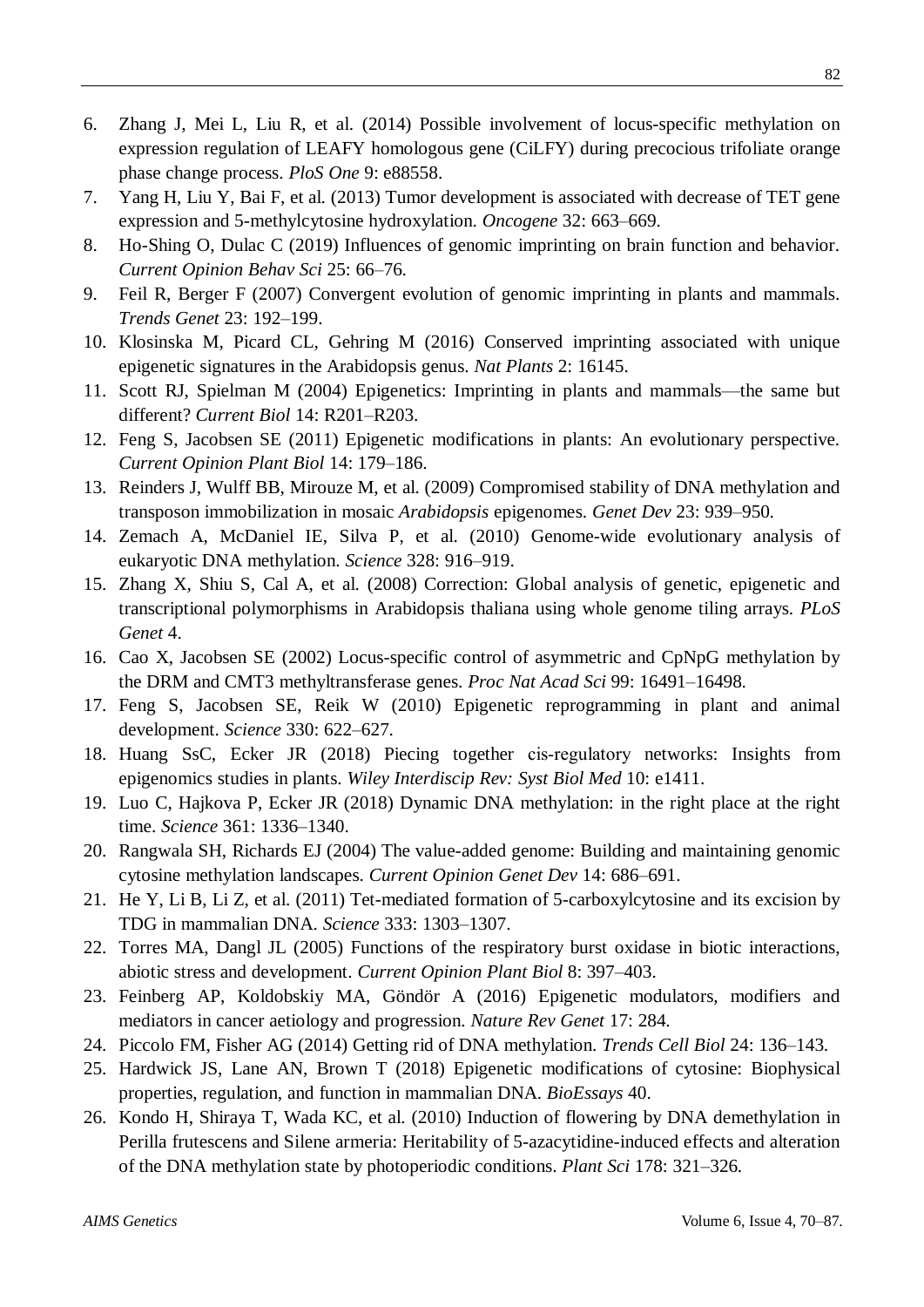- 6. Zhang J, Mei L, Liu R, et al. (2014) Possible involvement of locus-specific methylation on expression regulation of LEAFY homologous gene (CiLFY) during precocious trifoliate orange phase change process. *PloS One* 9: e88558.
- 7. Yang H, Liu Y, Bai F, et al. (2013) Tumor development is associated with decrease of TET gene expression and 5-methylcytosine hydroxylation. *Oncogene* 32: 663–669.
- 8. Ho-Shing O, Dulac C (2019) Influences of genomic imprinting on brain function and behavior. *Current Opinion Behav Sci* 25: 66–76.
- 9. Feil R, Berger F (2007) Convergent evolution of genomic imprinting in plants and mammals. *Trends Genet* 23: 192–199.
- 10. Klosinska M, Picard CL, Gehring M (2016) Conserved imprinting associated with unique epigenetic signatures in the Arabidopsis genus. *Nat Plants* 2: 16145.
- 11. Scott RJ, Spielman M (2004) Epigenetics: Imprinting in plants and mammals—the same but different? *Current Biol* 14: R201–R203.
- 12. Feng S, Jacobsen SE (2011) Epigenetic modifications in plants: An evolutionary perspective. *Current Opinion Plant Biol* 14: 179–186.
- 13. Reinders J, Wulff BB, Mirouze M, et al. (2009) Compromised stability of DNA methylation and transposon immobilization in mosaic *Arabidopsis* epigenomes. *Genet Dev* 23: 939–950.
- 14. Zemach A, McDaniel IE, Silva P, et al. (2010) Genome-wide evolutionary analysis of eukaryotic DNA methylation. *Science* 328: 916–919.
- 15. Zhang X, Shiu S, Cal A, et al. (2008) Correction: Global analysis of genetic, epigenetic and transcriptional polymorphisms in Arabidopsis thaliana using whole genome tiling arrays. *PLoS Genet* 4.
- 16. Cao X, Jacobsen SE (2002) Locus-specific control of asymmetric and CpNpG methylation by the DRM and CMT3 methyltransferase genes. *Proc Nat Acad Sci* 99: 16491–16498.
- 17. Feng S, Jacobsen SE, Reik W (2010) Epigenetic reprogramming in plant and animal development. *Science* 330: 622–627.
- 18. Huang SsC, Ecker JR (2018) Piecing together cis‐regulatory networks: Insights from epigenomics studies in plants. *Wiley Interdiscip Rev: Syst Biol Med* 10: e1411.
- 19. Luo C, Hajkova P, Ecker JR (2018) Dynamic DNA methylation: in the right place at the right time. *Science* 361: 1336–1340.
- 20. Rangwala SH, Richards EJ (2004) The value-added genome: Building and maintaining genomic cytosine methylation landscapes. *Current Opinion Genet Dev* 14: 686–691.
- 21. He Y, Li B, Li Z, et al. (2011) Tet-mediated formation of 5-carboxylcytosine and its excision by TDG in mammalian DNA. *Science* 333: 1303–1307.
- 22. Torres MA, Dangl JL (2005) Functions of the respiratory burst oxidase in biotic interactions, abiotic stress and development. *Current Opinion Plant Biol* 8: 397–403.
- 23. Feinberg AP, Koldobskiy MA, Göndör A (2016) Epigenetic modulators, modifiers and mediators in cancer aetiology and progression. *Nature Rev Genet* 17: 284.
- 24. Piccolo FM, Fisher AG (2014) Getting rid of DNA methylation. *Trends Cell Biol* 24: 136–143.
- 25. Hardwick JS, Lane AN, Brown T (2018) Epigenetic modifications of cytosine: Biophysical properties, regulation, and function in mammalian DNA. *BioEssays* 40.
- 26. Kondo H, Shiraya T, Wada KC, et al. (2010) Induction of flowering by DNA demethylation in Perilla frutescens and Silene armeria: Heritability of 5-azacytidine-induced effects and alteration of the DNA methylation state by photoperiodic conditions. *Plant Sci* 178: 321–326.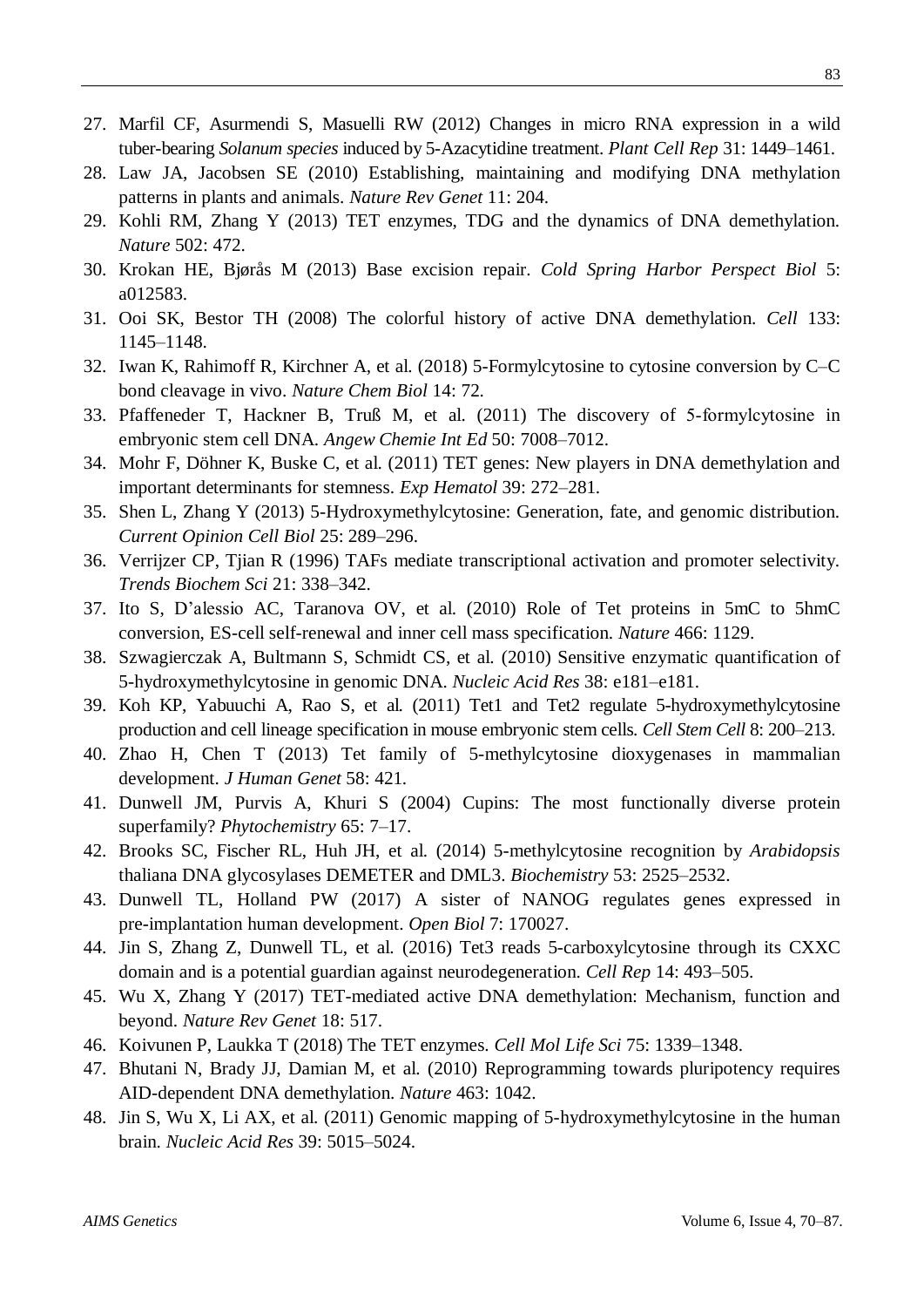- 27. Marfil CF, Asurmendi S, Masuelli RW (2012) Changes in micro RNA expression in a wild tuber-bearing *Solanum species* induced by 5-Azacytidine treatment. *Plant Cell Rep* 31: 1449–1461.
- 28. Law JA, Jacobsen SE (2010) Establishing, maintaining and modifying DNA methylation patterns in plants and animals. *Nature Rev Genet* 11: 204.
- 29. Kohli RM, Zhang Y (2013) TET enzymes, TDG and the dynamics of DNA demethylation. *Nature* 502: 472.
- 30. Krokan HE, Bjørås M (2013) Base excision repair. *Cold Spring Harbor Perspect Biol* 5: a012583.
- 31. Ooi SK, Bestor TH (2008) The colorful history of active DNA demethylation. *Cell* 133: 1145–1148.
- 32. Iwan K, Rahimoff R, Kirchner A, et al. (2018) 5-Formylcytosine to cytosine conversion by C–C bond cleavage in vivo. *Nature Chem Biol* 14: 72.
- 33. Pfaffeneder T, Hackner B, Truß M, et al. (2011) The discovery of 5‐formylcytosine in embryonic stem cell DNA. *Angew Chemie Int Ed* 50: 7008–7012.
- 34. Mohr F, Döhner K, Buske C, et al. (2011) TET genes: New players in DNA demethylation and important determinants for stemness. *Exp Hematol* 39: 272–281.
- 35. Shen L, Zhang Y (2013) 5-Hydroxymethylcytosine: Generation, fate, and genomic distribution. *Current Opinion Cell Biol* 25: 289–296.
- 36. Verrijzer CP, Tjian R (1996) TAFs mediate transcriptional activation and promoter selectivity. *Trends Biochem Sci* 21: 338–342.
- 37. Ito S, D'alessio AC, Taranova OV, et al. (2010) Role of Tet proteins in 5mC to 5hmC conversion, ES-cell self-renewal and inner cell mass specification. *Nature* 466: 1129.
- 38. Szwagierczak A, Bultmann S, Schmidt CS, et al. (2010) Sensitive enzymatic quantification of 5-hydroxymethylcytosine in genomic DNA. *Nucleic Acid Res* 38: e181–e181.
- 39. Koh KP, Yabuuchi A, Rao S, et al. (2011) Tet1 and Tet2 regulate 5-hydroxymethylcytosine production and cell lineage specification in mouse embryonic stem cells. *Cell Stem Cell* 8: 200–213.
- 40. Zhao H, Chen T (2013) Tet family of 5-methylcytosine dioxygenases in mammalian development. *J Human Genet* 58: 421.
- 41. Dunwell JM, Purvis A, Khuri S (2004) Cupins: The most functionally diverse protein superfamily? *Phytochemistry* 65: 7–17.
- 42. Brooks SC, Fischer RL, Huh JH, et al. (2014) 5-methylcytosine recognition by *Arabidopsis* thaliana DNA glycosylases DEMETER and DML3. *Biochemistry* 53: 2525–2532.
- 43. Dunwell TL, Holland PW (2017) A sister of NANOG regulates genes expressed in pre-implantation human development. *Open Biol* 7: 170027.
- 44. Jin S, Zhang Z, Dunwell TL, et al. (2016) Tet3 reads 5-carboxylcytosine through its CXXC domain and is a potential guardian against neurodegeneration. *Cell Rep* 14: 493–505.
- 45. Wu X, Zhang Y (2017) TET-mediated active DNA demethylation: Mechanism, function and beyond. *Nature Rev Genet* 18: 517.
- 46. Koivunen P, Laukka T (2018) The TET enzymes. *Cell Mol Life Sci* 75: 1339–1348.
- 47. Bhutani N, Brady JJ, Damian M, et al. (2010) Reprogramming towards pluripotency requires AID-dependent DNA demethylation. *Nature* 463: 1042.
- 48. Jin S, Wu X, Li AX, et al. (2011) Genomic mapping of 5-hydroxymethylcytosine in the human brain. *Nucleic Acid Res* 39: 5015–5024.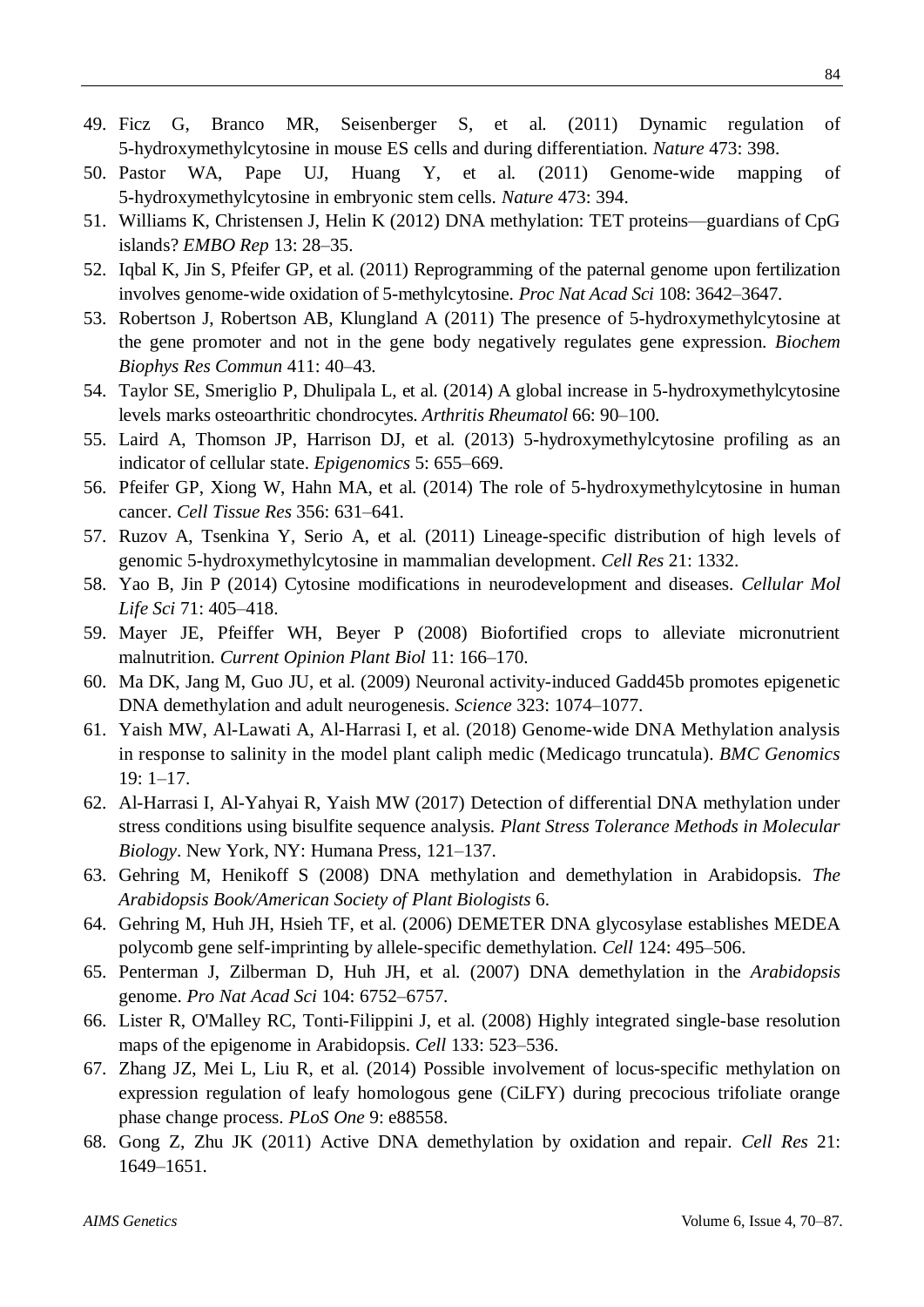- 49. Ficz G, Branco MR, Seisenberger S, et al. (2011) Dynamic regulation of 5-hydroxymethylcytosine in mouse ES cells and during differentiation. *Nature* 473: 398.
- 50. Pastor WA, Pape UJ, Huang Y, et al. (2011) Genome-wide mapping of 5-hydroxymethylcytosine in embryonic stem cells. *Nature* 473: 394.
- 51. Williams K, Christensen J, Helin K (2012) DNA methylation: TET proteins—guardians of CpG islands? *EMBO Rep* 13: 28–35.
- 52. Iqbal K, Jin S, Pfeifer GP, et al. (2011) Reprogramming of the paternal genome upon fertilization involves genome-wide oxidation of 5-methylcytosine. *Proc Nat Acad Sci* 108: 3642–3647.
- 53. Robertson J, Robertson AB, Klungland A (2011) The presence of 5-hydroxymethylcytosine at the gene promoter and not in the gene body negatively regulates gene expression. *Biochem Biophys Res Commun* 411: 40–43.
- 54. Taylor SE, Smeriglio P, Dhulipala L, et al. (2014) A global increase in 5‐hydroxymethylcytosine levels marks osteoarthritic chondrocytes. *Arthritis Rheumatol* 66: 90–100.
- 55. Laird A, Thomson JP, Harrison DJ, et al. (2013) 5-hydroxymethylcytosine profiling as an indicator of cellular state. *Epigenomics* 5: 655–669.
- 56. Pfeifer GP, Xiong W, Hahn MA, et al. (2014) The role of 5-hydroxymethylcytosine in human cancer. *Cell Tissue Res* 356: 631–641.
- 57. Ruzov A, Tsenkina Y, Serio A, et al. (2011) Lineage-specific distribution of high levels of genomic 5-hydroxymethylcytosine in mammalian development. *Cell Res* 21: 1332.
- 58. Yao B, Jin P (2014) Cytosine modifications in neurodevelopment and diseases. *Cellular Mol Life Sci* 71: 405–418.
- 59. Mayer JE, Pfeiffer WH, Beyer P (2008) Biofortified crops to alleviate micronutrient malnutrition. *Current Opinion Plant Biol* 11: 166–170.
- 60. Ma DK, Jang M, Guo JU, et al. (2009) Neuronal activity-induced Gadd45b promotes epigenetic DNA demethylation and adult neurogenesis. *Science* 323: 1074–1077.
- 61. Yaish MW, Al-Lawati A, Al-Harrasi I, et al. (2018) Genome-wide DNA Methylation analysis in response to salinity in the model plant caliph medic (Medicago truncatula). *BMC Genomics* 19: 1–17.
- 62. Al-Harrasi I, Al-Yahyai R, Yaish MW (2017) Detection of differential DNA methylation under stress conditions using bisulfite sequence analysis. *Plant Stress Tolerance Methods in Molecular Biology*. New York, NY: Humana Press, 121–137.
- 63. Gehring M, Henikoff S (2008) DNA methylation and demethylation in Arabidopsis. *The Arabidopsis Book/American Society of Plant Biologists* 6.
- 64. Gehring M, Huh JH, Hsieh TF, et al. (2006) DEMETER DNA glycosylase establishes MEDEA polycomb gene self-imprinting by allele-specific demethylation. *Cell* 124: 495–506.
- 65. Penterman J, Zilberman D, Huh JH, et al. (2007) DNA demethylation in the *Arabidopsis* genome. *Pro Nat Acad Sci* 104: 6752–6757.
- 66. Lister R, O'Malley RC, Tonti-Filippini J, et al. (2008) Highly integrated single-base resolution maps of the epigenome in Arabidopsis. *Cell* 133: 523–536.
- 67. Zhang JZ, Mei L, Liu R, et al. (2014) Possible involvement of locus-specific methylation on expression regulation of leafy homologous gene (CiLFY) during precocious trifoliate orange phase change process. *PLoS One* 9: e88558.
- 68. Gong Z, Zhu JK (2011) Active DNA demethylation by oxidation and repair. *Cell Res* 21: 1649–1651.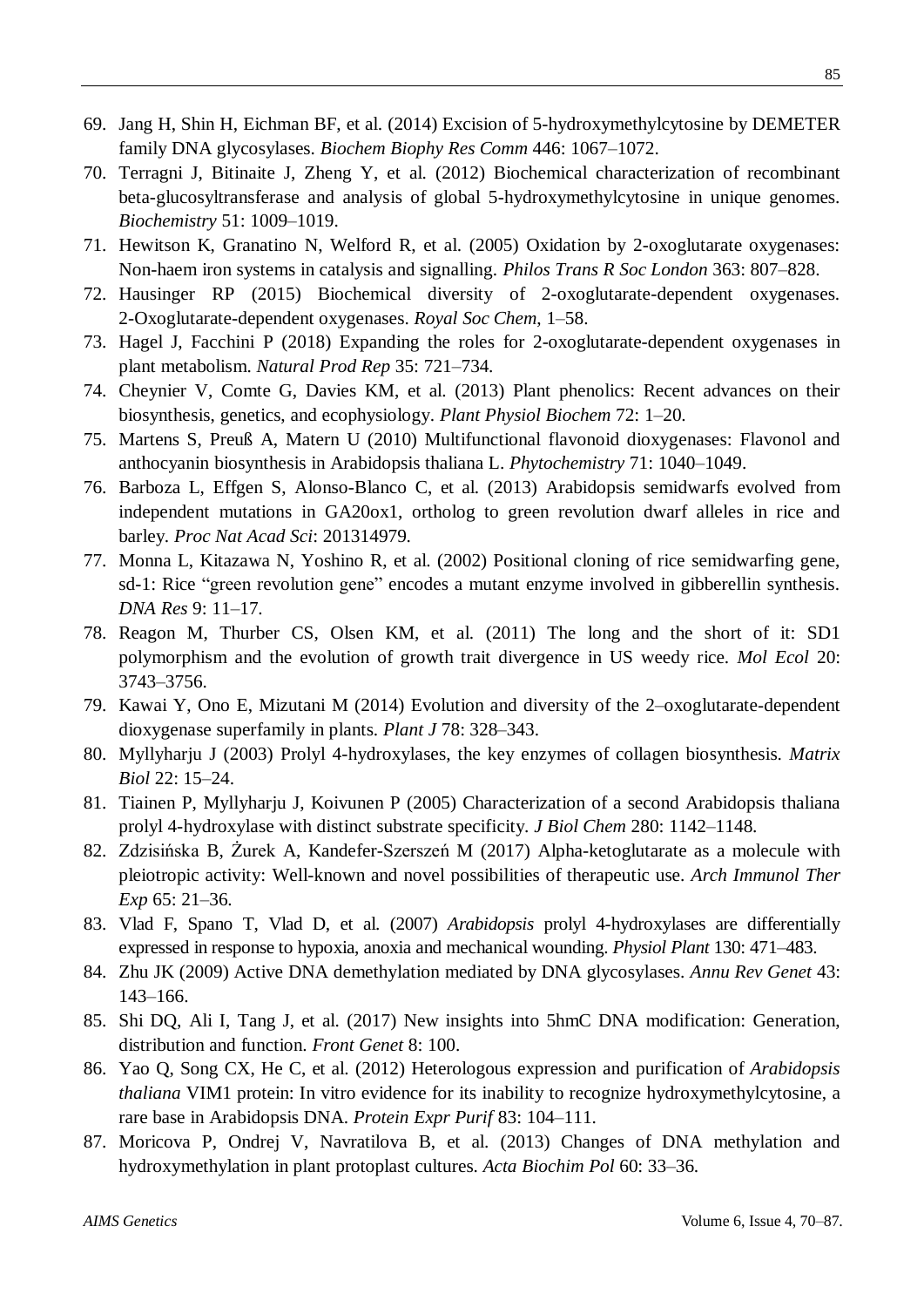- 69. Jang H, Shin H, Eichman BF, et al. (2014) Excision of 5-hydroxymethylcytosine by DEMETER family DNA glycosylases. *Biochem Biophy Res Comm* 446: 1067–1072.
- 70. Terragni J, Bitinaite J, Zheng Y, et al. (2012) Biochemical characterization of recombinant beta-glucosyltransferase and analysis of global 5-hydroxymethylcytosine in unique genomes. *Biochemistry* 51: 1009–1019.
- 71. Hewitson K, Granatino N, Welford R, et al. (2005) Oxidation by 2-oxoglutarate oxygenases: Non-haem iron systems in catalysis and signalling. *Philos Trans R Soc London* 363: 807–828.
- 72. Hausinger RP (2015) Biochemical diversity of 2-oxoglutarate-dependent oxygenases. 2-Oxoglutarate-dependent oxygenases. *Royal Soc Chem*, 1–58.
- 73. Hagel J, Facchini P (2018) Expanding the roles for 2-oxoglutarate-dependent oxygenases in plant metabolism. *Natural Prod Rep* 35: 721–734.
- 74. Cheynier V, Comte G, Davies KM, et al. (2013) Plant phenolics: Recent advances on their biosynthesis, genetics, and ecophysiology. *Plant Physiol Biochem* 72: 1–20.
- 75. Martens S, PreußA, Matern U (2010) Multifunctional flavonoid dioxygenases: Flavonol and anthocyanin biosynthesis in Arabidopsis thaliana L. *Phytochemistry* 71: 1040–1049.
- 76. Barboza L, Effgen S, Alonso-Blanco C, et al. (2013) Arabidopsis semidwarfs evolved from independent mutations in GA20ox1, ortholog to green revolution dwarf alleles in rice and barley. *Proc Nat Acad Sci*: 201314979.
- 77. Monna L, Kitazawa N, Yoshino R, et al. (2002) Positional cloning of rice semidwarfing gene, sd-1: Rice "green revolution gene" encodes a mutant enzyme involved in gibberellin synthesis. *DNA Res* 9: 11–17.
- 78. Reagon M, Thurber CS, Olsen KM, et al. (2011) The long and the short of it: SD1 polymorphism and the evolution of growth trait divergence in US weedy rice. *Mol Ecol* 20: 3743–3756.
- 79. Kawai Y, Ono E, Mizutani M (2014) Evolution and diversity of the 2–oxoglutarate‐dependent dioxygenase superfamily in plants. *Plant J* 78: 328–343.
- 80. Myllyharju J (2003) Prolyl 4-hydroxylases, the key enzymes of collagen biosynthesis. *Matrix Biol* 22: 15–24.
- 81. Tiainen P, Myllyharju J, Koivunen P (2005) Characterization of a second Arabidopsis thaliana prolyl 4-hydroxylase with distinct substrate specificity. *J Biol Chem* 280: 1142–1148.
- 82. Zdzisińska B, Żurek A, Kandefer-Szerszeń M (2017) Alpha-ketoglutarate as a molecule with pleiotropic activity: Well-known and novel possibilities of therapeutic use. *Arch Immunol Ther Exp* 65: 21–36.
- 83. Vlad F, Spano T, Vlad D, et al. (2007) *Arabidopsis* prolyl 4‐hydroxylases are differentially expressed in response to hypoxia, anoxia and mechanical wounding. *Physiol Plant* 130: 471–483.
- 84. Zhu JK (2009) Active DNA demethylation mediated by DNA glycosylases. *Annu Rev Genet* 43: 143–166.
- 85. Shi DQ, Ali I, Tang J, et al. (2017) New insights into 5hmC DNA modification: Generation, distribution and function. *Front Genet* 8: 100.
- 86. Yao Q, Song CX, He C, et al. (2012) Heterologous expression and purification of *Arabidopsis thaliana* VIM1 protein: In vitro evidence for its inability to recognize hydroxymethylcytosine, a rare base in Arabidopsis DNA. *Protein Expr Purif* 83: 104–111.
- 87. Moricova P, Ondrej V, Navratilova B, et al. (2013) Changes of DNA methylation and hydroxymethylation in plant protoplast cultures. *Acta Biochim Pol* 60: 33–36.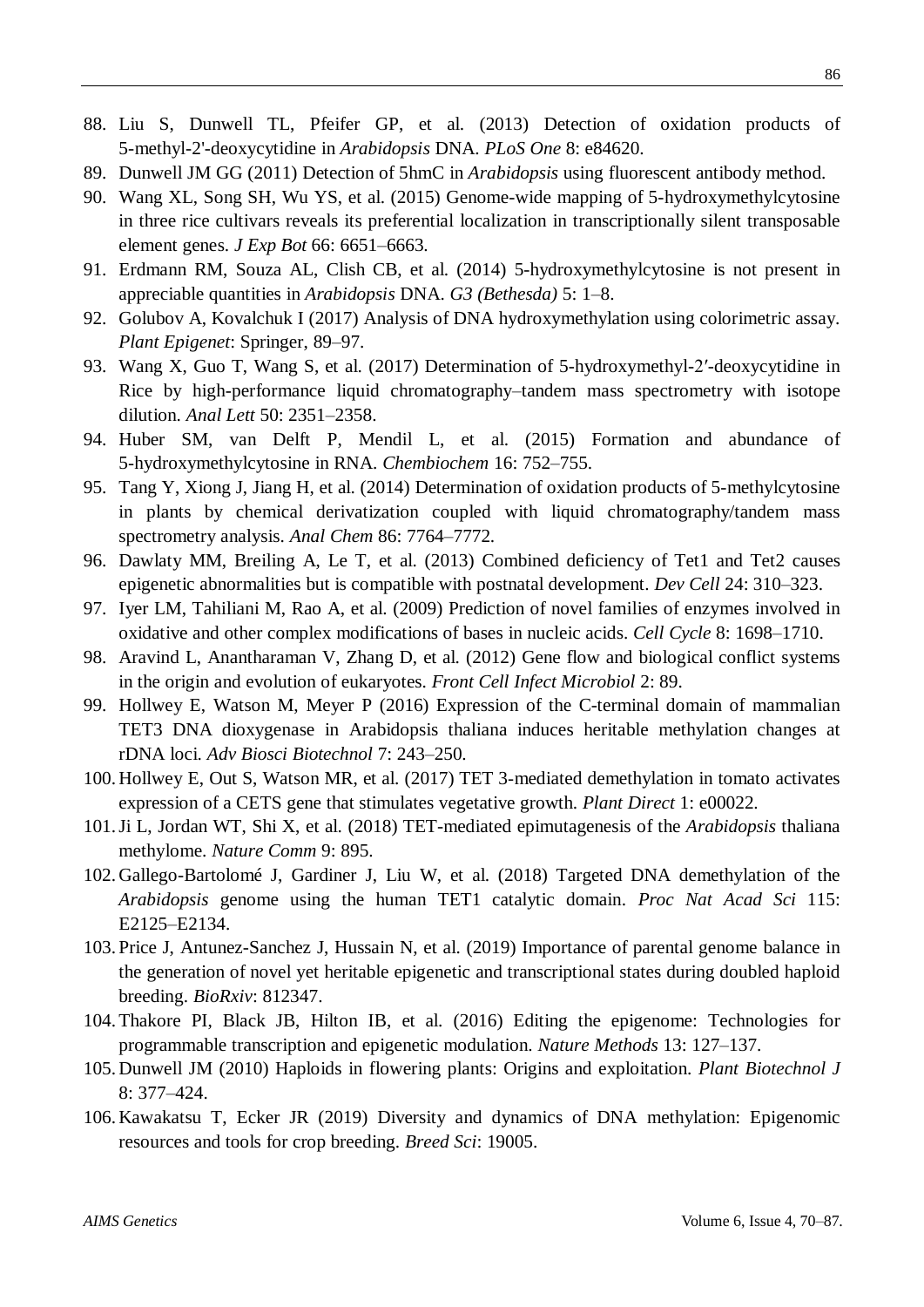- 88. Liu S, Dunwell TL, Pfeifer GP, et al. (2013) Detection of oxidation products of 5-methyl-2'-deoxycytidine in *Arabidopsis* DNA. *PLoS One* 8: e84620.
- 89. Dunwell JM GG (2011) Detection of 5hmC in *Arabidopsis* using fluorescent antibody method.
- 90. Wang XL, Song SH, Wu YS, et al. (2015) Genome-wide mapping of 5-hydroxymethylcytosine in three rice cultivars reveals its preferential localization in transcriptionally silent transposable element genes. *J Exp Bot* 66: 6651–6663.
- 91. Erdmann RM, Souza AL, Clish CB, et al. (2014) 5-hydroxymethylcytosine is not present in appreciable quantities in *Arabidopsis* DNA. *G3 (Bethesda)* 5: 1–8.
- 92. Golubov A, Kovalchuk I (2017) Analysis of DNA hydroxymethylation using colorimetric assay. *Plant Epigenet*: Springer, 89–97.
- 93. Wang X, Guo T, Wang S, et al. (2017) Determination of 5-hydroxymethyl-2′-deoxycytidine in Rice by high-performance liquid chromatography–tandem mass spectrometry with isotope dilution. *Anal Lett* 50: 2351–2358.
- 94. Huber SM, van Delft P, Mendil L, et al. (2015) Formation and abundance of 5‐hydroxymethylcytosine in RNA. *Chembiochem* 16: 752–755.
- 95. Tang Y, Xiong J, Jiang H, et al. (2014) Determination of oxidation products of 5-methylcytosine in plants by chemical derivatization coupled with liquid chromatography/tandem mass spectrometry analysis. *Anal Chem* 86: 7764–7772.
- 96. Dawlaty MM, Breiling A, Le T, et al. (2013) Combined deficiency of Tet1 and Tet2 causes epigenetic abnormalities but is compatible with postnatal development. *Dev Cell* 24: 310–323.
- 97. Iyer LM, Tahiliani M, Rao A, et al. (2009) Prediction of novel families of enzymes involved in oxidative and other complex modifications of bases in nucleic acids. *Cell Cycle* 8: 1698–1710.
- 98. Aravind L, Anantharaman V, Zhang D, et al. (2012) Gene flow and biological conflict systems in the origin and evolution of eukaryotes. *Front Cell Infect Microbiol* 2: 89.
- 99. Hollwey E, Watson M, Meyer P (2016) Expression of the C-terminal domain of mammalian TET3 DNA dioxygenase in Arabidopsis thaliana induces heritable methylation changes at rDNA loci. *Adv Biosci Biotechnol* 7: 243–250.
- 100. Hollwey E, Out S, Watson MR, et al. (2017) TET 3‐mediated demethylation in tomato activates expression of a CETS gene that stimulates vegetative growth. *Plant Direct* 1: e00022.
- 101.Ji L, Jordan WT, Shi X, et al. (2018) TET-mediated epimutagenesis of the *Arabidopsis* thaliana methylome. *Nature Comm* 9: 895.
- 102. Gallego-BartoloméJ, Gardiner J, Liu W, et al. (2018) Targeted DNA demethylation of the *Arabidopsis* genome using the human TET1 catalytic domain. *Proc Nat Acad Sci* 115: E2125–E2134.
- 103. Price J, Antunez-Sanchez J, Hussain N, et al. (2019) Importance of parental genome balance in the generation of novel yet heritable epigenetic and transcriptional states during doubled haploid breeding. *BioRxiv*: 812347.
- 104.Thakore PI, Black JB, Hilton IB, et al. (2016) Editing the epigenome: Technologies for programmable transcription and epigenetic modulation. *Nature Methods* 13: 127–137.
- 105. Dunwell JM (2010) Haploids in flowering plants: Origins and exploitation. *Plant Biotechnol J* 8: 377–424.
- 106. Kawakatsu T, Ecker JR (2019) Diversity and dynamics of DNA methylation: Epigenomic resources and tools for crop breeding. *Breed Sci*: 19005.